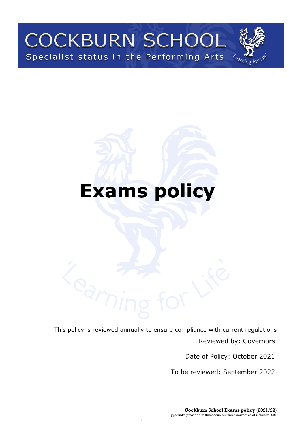# **COCKBURN SCHOOL** Specialist status in the Performing Arts



# **Exams policy**

This policy is reviewed annually to ensure compliance with current regulations

Reviewed by: Governors

Date of Policy: October 2021

To be reviewed: September 2022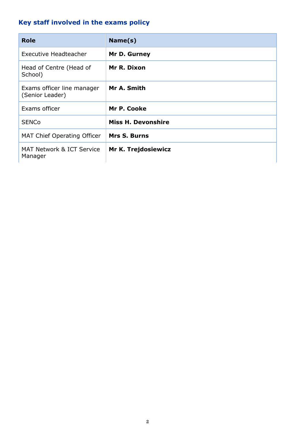# <span id="page-1-0"></span>**Key staff involved in the exams policy**

| <b>Role</b>                                   | Name(s)                   |
|-----------------------------------------------|---------------------------|
| Executive Headteacher                         | Mr D. Gurney              |
| Head of Centre (Head of<br>School)            | Mr R. Dixon               |
| Exams officer line manager<br>(Senior Leader) | Mr A. Smith               |
| Exams officer                                 | Mr P. Cooke               |
| <b>SENCo</b>                                  | <b>Miss H. Devonshire</b> |
| <b>MAT Chief Operating Officer</b>            | <b>Mrs S. Burns</b>       |
| MAT Network & ICT Service<br>Manager          | Mr K. Trejdosiewicz       |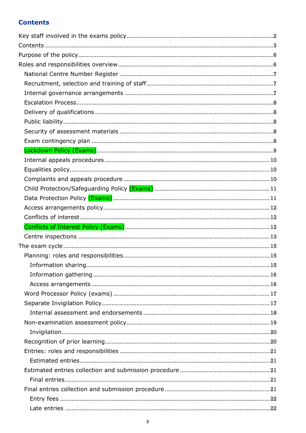## <span id="page-2-0"></span>**Contents**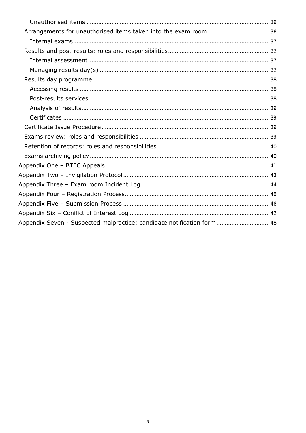| Appendix Seven - Suspected malpractice: candidate notification form 48 |
|------------------------------------------------------------------------|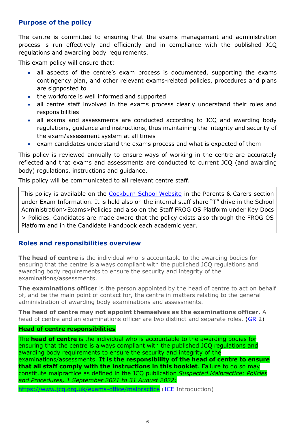## <span id="page-5-0"></span>**Purpose of the policy**

The centre is committed to ensuring that the exams management and administration process is run effectively and efficiently and in compliance with the published JCQ regulations and awarding body requirements.

This exam policy will ensure that:

- all aspects of the centre's exam process is documented, supporting the exams contingency plan, and other relevant exams-related policies, procedures and plans are signposted to
- the workforce is well informed and supported
- all centre staff involved in the exams process clearly understand their roles and responsibilities
- all exams and assessments are conducted according to JCQ and awarding body regulations, guidance and instructions, thus maintaining the integrity and security of the exam/assessment system at all times
- exam candidates understand the exams process and what is expected of them

This policy is reviewed annually to ensure ways of working in the centre are accurately reflected and that exams and assessments are conducted to current JCQ (and awarding body) regulations, instructions and guidance.

This policy will be communicated to all relevant centre staff.

This policy is available on the [Cockburn School Website](http://www.cockburnschool.org/) in the Parents & Carers section under Exam Information. It is held also on the internal staff share "T" drive in the School Administration>Exams>Policies and also on the Staff FROG OS Platform under Key Docs > Policies. Candidates are made aware that the policy exists also through the FROG OS Platform and in the Candidate Handbook each academic year.

## <span id="page-5-1"></span>**Roles and responsibilities overview**

**The head of centre** is the individual who is accountable to the awarding bodies for ensuring that the centre is always compliant with the published JCQ regulations and awarding body requirements to ensure the security and integrity of the examinations/assessments.

**The examinations officer** is the person appointed by the head of centre to act on behalf of, and be the main point of contact for, the centre in matters relating to the general administration of awarding body examinations and assessments.

**The head of centre may not appoint themselves as the examinations officer.** A head of centre and an examinations officer are two distinct and separate roles. [\(GR](http://www.jcq.org.uk/exams-office/general-regulations) 2)

#### **Head of centre responsibilities**

The **head of centre** is the individual who is accountable to the awarding bodies for ensuring that the centre is always compliant with the published JCQ regulations and awarding body requirements to ensure the security and integrity of the examinations/assessments. **It is the responsibility of the head of centre to ensure that all staff comply with the instructions in this booklet**. Failure to do so may constitute malpractice as defined in the JCQ publication *Suspected Malpractice: Policies and Procedures, 1 September 2021 to 31 August 2022:* 

<https://www.jcq.org.uk/exams-office/malpractice> [\(ICE](http://www.jcq.org.uk/exams-office/ice---instructions-for-conducting-examinations) Introduction)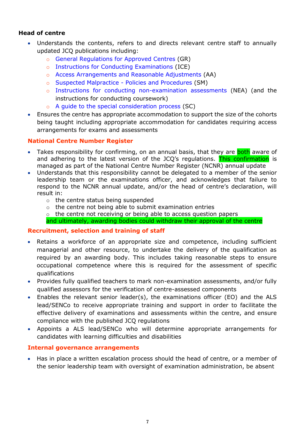## **Head of centre**

- Understands the contents, refers to and directs relevant centre staff to annually updated JCQ publications including:
	- o [General Regulations for Approved Centres](http://www.jcq.org.uk/exams-office/general-regulations) (GR)
	- o [Instructions for Conducting Examinations](http://www.jcq.org.uk/exams-office/ice---instructions-for-conducting-examinations) (ICE)
	- o Access [Arrangements and Reasonable Adjustments](http://www.jcq.org.uk/exams-office/access-arrangements-and-special-consideration/regulations-and-guidance) (AA)
	- o [Suspected Malpractice -](http://www.jcq.org.uk/exams-office/malpractice) Policies and Procedures (SM)
	- o [Instructions for conducting non-examination assessments](http://www.jcq.org.uk/exams-office/non-examination-assessments) (NEA) (and the instructions for conducting coursework)
	- o [A guide to the special consideration](http://www.jcq.org.uk/exams-office/access-arrangements-and-special-consideration/regulations-and-guidance) process (SC)
- Ensures the centre has appropriate accommodation to support the size of the cohorts being taught including appropriate accommodation for candidates requiring access arrangements for exams and assessments

#### <span id="page-6-0"></span>**National Centre Number Register**

- Takes responsibility for confirming, on an annual basis, that they are **both** aware of and adhering to the latest version of the JCQ's regulations. This confirmation is managed as part of the National Centre Number Register (NCNR) annual update
- Understands that this responsibility cannot be delegated to a member of the senior leadership team or the examinations officer, and acknowledges that failure to respond to the NCNR annual update, and/or the head of centre's declaration, will result in:
	- o the centre status being suspended
	- o the centre not being able to submit examination entries
	- o the centre not receiving or being able to access question papers and ultimately, awarding bodies could withdraw their approval of the centre

#### <span id="page-6-1"></span>**Recruitment, selection and training of staff**

- Retains a workforce of an appropriate size and competence, including sufficient managerial and other resource, to undertake the delivery of the qualification as required by an awarding body. This includes taking reasonable steps to ensure occupational competence where this is required for the assessment of specific qualifications
- Provides fully qualified teachers to mark non-examination assessments, and/or fully qualified assessors for the verification of centre-assessed components
- Enables the relevant senior leader(s), the examinations officer (EO) and the ALS lead/SENCo to receive appropriate training and support in order to facilitate the effective delivery of examinations and assessments within the centre, and ensure compliance with the published JCQ regulations
- Appoints a ALS lead/SENCo who will determine appropriate arrangements for candidates with learning difficulties and disabilities

#### <span id="page-6-2"></span>**Internal governance arrangements**

• Has in place a written escalation process should the head of centre, or a member of the senior leadership team with oversight of examination administration, be absent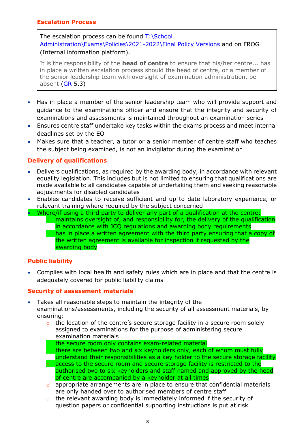## <span id="page-7-0"></span>**Escalation Process**

The escalation process can be found  $T:\S$ chool [Administration\Exams\Policies\2021-2022\Final Policy Versions](file://///cobn-fs001/staffshare$/School%20Administration/Exams/Policies/2021-2022/Final%20Policy%20Versions) and on FROG (Internal information platform).

It is the responsibility of the **head of centre** to ensure that his/her centre... has in place a written escalation process should the head of centre, or a member of the senior leadership team with oversight of examination administration, be absent [\(GR](http://www.jcq.org.uk/exams-office/general-regulations) 5.3)

- Has in place a member of the senior leadership team who will provide support and guidance to the examinations officer and ensure that the integrity and security of examinations and assessments is maintained throughout an examination series
- Ensures centre staff undertake key tasks within the exams process and meet internal deadlines set by the EO
- Makes sure that a teacher, a tutor or a senior member of centre staff who teaches the subject being examined, is not an invigilator during the examination

## <span id="page-7-1"></span>**Delivery of qualifications**

- Delivers qualifications, as required by the awarding body, in accordance with relevant equality legislation. This includes but is not limited to ensuring that qualifications are made available to all candidates capable of undertaking them and seeking reasonable adjustments for disabled candidates
- Enables candidates to receive sufficient and up to date laboratory experience, or relevant training where required by the subject concerned
- Where/if using a third party to deliver any part of a qualification at the centre:
	- o maintains oversight of, and responsibility for, the delivery of the qualification in accordance with JCQ regulations and awarding body requirements
	- $\circ$  has in place a written agreement with the third party ensuring that a copy of the written agreement is available for inspection if requested by the awarding body

## <span id="page-7-2"></span>**Public liability**

• Complies with local health and safety rules which are in place and that the centre is adequately covered for public liability claims

## <span id="page-7-3"></span>**Security of assessment materials**

- Takes all reasonable steps to maintain the integrity of the examinations/assessments, including the security of all assessment materials, by ensuring:
	- o the location of the centre's secure storage facility in a secure room solely assigned to examinations for the purpose of administering secure examination materials
	- o the secure room only contains exam-related material
	- o there are between two and six keyholders only, each of whom must fully understand their responsibilities as a key holder to the secure storage facility o access to the secure room and secure storage facility is restricted to the authorised two to six keyholders and staff named and approved by the head of centre are accompanied by a keyholder at all times
	- o appropriate arrangements are in place to ensure that confidential materials are only handed over to authorised members of centre staff
	- o the relevant awarding body is immediately informed if the security of question papers or confidential supporting instructions is put at risk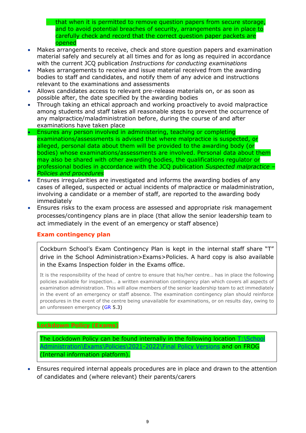o that when it is permitted to remove question papers from secure storage, and to avoid potential breaches of security, arrangements are in place to carefully check and record that the correct question paper packets are opened

- Makes arrangements to receive, check and store question papers and examination material safely and securely at all times and for as long as required in accordance with the current JCQ publication *Instructions for conducting examinations*
- Makes arrangements to receive and issue material received from the awarding bodies to staff and candidates, and notify them of any advice and instructions relevant to the examinations and assessments
- Allows candidates access to relevant pre-release materials on, or as soon as possible after, the date specified by the awarding bodies
- Through taking an ethical approach and working proactively to avoid malpractice among students and staff takes all reasonable steps to prevent the occurrence of any malpractice/maladministration before, during the course of and after examinations have taken place
- Ensures any person involved in administering, teaching or completing examinations/assessments is advised that where malpractice is suspected, or alleged, personal data about them will be provided to the awarding body (or bodies) whose examinations/assessments are involved. Personal data about them may also be shared with other awarding bodies, the qualifications regulator or professional bodies in accordance with the JCQ publication *Suspected malpractice – Policies and procedures*
- Ensures irregularities are investigated and informs the awarding bodies of any cases of alleged, suspected or actual incidents of malpractice or maladministration, involving a candidate or a member of staff, are reported to the awarding body immediately
- Ensures risks to the exam process are assessed and appropriate risk management processes/contingency plans are in place (that allow the senior leadership team to act immediately in the event of an emergency or staff absence)

## <span id="page-8-0"></span>**Exam contingency plan**

Cockburn School's Exam Contingency Plan is kept in the internal staff share "T" drive in the School Administration>Exams>Policies. A hard copy is also available in the Exams Inspection folder in the Exams office.

It is the responsibility of the head of centre to ensure that his/her centre… has in place the following policies available for inspection… a written examination contingency plan which covers all aspects of examination administration. This will allow members of the senior leadership team to act immediately in the event of an emergency or staff absence. The examination contingency plan should reinforce procedures in the event of the centre being unavailable for examinations, or on results day, owing to an unforeseen emergency [\(GR](http://www.jcq.org.uk/exams-office/general-regulations) 5.3)

#### <span id="page-8-1"></span>**Lockdown Policy (Exams)**

The Lockdown Policy can be found internally in the following location  $T:\$ School [Administration\Exams\Policies\2021-2022\Final Policy Versions](file://///cobn-fs001/staffshare$/School%20Administration/Exams/Policies/2021-2022/Final%20Policy%20Versions) and on FROG (Internal information platform).

• Ensures required internal appeals procedures are in place and drawn to the attention of candidates and (where relevant) their parents/carers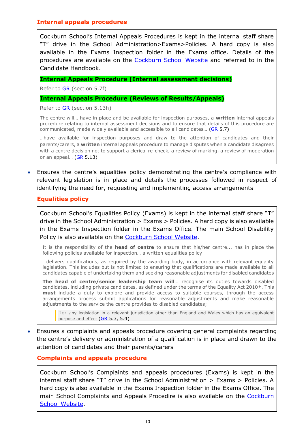#### <span id="page-9-0"></span>**Internal appeals procedures**

Cockburn School's Internal Appeals Procedures is kept in the internal staff share "T" drive in the School Administration>Exams>Policies. A hard copy is also available in the Exams Inspection folder in the Exams office. Details of the procedures are available on the [Cockburn School Website](http://www.cockburnschool.org/) and referred to in the Candidate Handbook.

#### **Internal Appeals Procedure (Internal assessment decisions)**

Refer to [GR](http://www.jcq.org.uk/exams-office/general-regulations) (section 5.7f)

#### **Internal Appeals Procedure (Reviews of Results/Appeals)**

Refer to [GR](http://www.jcq.org.uk/exams-office/general-regulations) (section 5.13h)

The centre will… have in place and be available for inspection purposes, a **written** internal appeals procedure relating to internal assessment decisions and to ensure that details of this procedure are communicated, made widely available and accessible to all candidates… [\(GR](http://www.jcq.org.uk/exams-office/general-regulations) 5.7)

…have available for inspection purposes and draw to the attention of candidates and their parents/carers, a **written** internal appeals procedure to manage disputes when a candidate disagrees with a centre decision not to support a clerical re-check, a review of marking, a review of moderation or an appeal… [\(GR](http://www.jcq.org.uk/exams-office/general-regulations) 5.13)

• Ensures the centre's equalities policy demonstrating the centre's compliance with relevant legislation is in place and details the processes followed in respect of identifying the need for, requesting and implementing access arrangements

#### <span id="page-9-1"></span>**Equalities policy**

Cockburn School's Equalities Policy (Exams) is kept in the internal staff share "T" drive in the School Administration > Exams > Policies. A hard copy is also available in the Exams Inspection folder in the Exams Office. The main School Disability Policy is also available on the [Cockburn School Website.](http://www.cockburnschool.org/)

It is the responsibility of the **head of centre** to ensure that his/her centre... has in place the following policies available for inspection… a written equalities policy

…delivers qualifications, as required by the awarding body, in accordance with relevant equality legislation. This includes but is not limited to ensuring that qualifications are made available to all candidates capable of undertaking them and seeking reasonable adjustments for disabled candidates

**The head of centre/senior leadership team will**… recognise its duties towards disabled candidates, including private candidates, as defined under the terms of the Equality Act 2010**†**. This **must** include a duty to explore and provide access to suitable courses, through the access arrangements process submit applications for reasonable adjustments and make reasonable adjustments to the service the centre provides to disabled candidates;

**†**or any legislation in a relevant jurisdiction other than England and Wales which has an equivalent purpose and effect [\(GR](http://www.jcq.org.uk/exams-office/general-regulations) 5.3, 5.4)

• Ensures a complaints and appeals procedure covering general complaints regarding the centre's delivery or administration of a qualification is in place and drawn to the attention of candidates and their parents/carers

#### <span id="page-9-2"></span>**Complaints and appeals procedure**

Cockburn School's Complaints and appeals procedures (Exams) is kept in the internal staff share "T" drive in the School Administration > Exams > Policies. A hard copy is also available in the Exams Inspection folder in the Exams Office. The main School Complaints and Appeals Procedire is also available on the Cockburn [School Website.](http://www.cockburnschool.org/)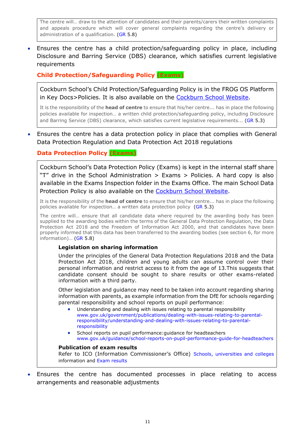The centre will… draw to the attention of candidates and their parents/carers their written complaints and appeals procedure which will cover general complaints regarding the centre's delivery or administration of a qualification. [\(GR](http://www.jcq.org.uk/exams-office/general-regulations) 5.8)

• Ensures the centre has a child protection/safeguarding policy in place, including Disclosure and Barring Service (DBS) clearance, which satisfies current legislative requirements

<span id="page-10-0"></span>**Child Protection/Safeguarding Policy (Exams)**

Cockburn School's Child Protection/Safeguarding Policy is in the FROG OS Platform in Key Docs>Policies. It is also available on the [Cockburn School Website.](http://www.cockburnschool.org/)

It is the responsibility of the **head of centre** to ensure that his/her centre... has in place the following policies available for inspection… a written child protection/safeguarding policy, including Disclosure and Barring Service (DBS) clearance, which satisfies current legislative requirements... [\(GR](http://www.jcq.org.uk/exams-office/general-regulations) 5.3)

• Ensures the centre has a data protection policy in place that complies with General Data Protection Regulation and Data Protection Act 2018 regulations

## <span id="page-10-1"></span>**Data Protection Policy (Exams)**

Cockburn School's Data Protection Policy (Exams) is kept in the internal staff share "T" drive in the School Administration > Exams > Policies. A hard copy is also available in the Exams Inspection folder in the Exams Office. The main School Data Protection Policy is also available on the [Cockburn School Website.](http://www.cockburnschool.org/)

It is the responsibility of the **head of centre** to ensure that his/her centre... has in place the following policies available for inspection… a written data protection policy [\(GR](http://www.jcq.org.uk/exams-office/general-regulations) 5.3)

The centre will… ensure that all candidate data where required by the awarding body has been supplied to the awarding bodies within the terms of the General Data Protection Regulation, the Data Protection Act 2018 and the Freedom of Information Act 2000, and that candidates have been properly informed that this data has been transferred to the awarding bodies (see section 6, for more information)… [\(GR](http://www.jcq.org.uk/exams-office/general-regulations) 5.8)

#### **Legislation on sharing information**

Under the principles of the General Data Protection Regulations 2018 and the Data Protection Act 2018, children and young adults can assume control over their personal information and restrict access to it from the age of 13.This suggests that candidate consent should be sought to share results or other exams-related information with a third party.

Other legislation and guidance may need to be taken into account regarding sharing information with parents, as example information from the DfE for schools regarding parental responsibility and school reports on pupil performance:

- Understanding and dealing with issues relating to parental responsibility [www.gov.uk/government/publications/dealing-with-issues-relating-to-parental](https://www.gov.uk/government/publications/dealing-with-issues-relating-to-parental-responsibility/understanding-and-dealing-with-issues-relating-to-parental-responsibility)[responsibility/understanding-and-dealing-with-issues-relating-to-parental](https://www.gov.uk/government/publications/dealing-with-issues-relating-to-parental-responsibility/understanding-and-dealing-with-issues-relating-to-parental-responsibility)[responsibility](https://www.gov.uk/government/publications/dealing-with-issues-relating-to-parental-responsibility/understanding-and-dealing-with-issues-relating-to-parental-responsibility)
- School reports on pupil performance:guidance for headteachers [www.gov.uk/guidance/school-reports-on-pupil-performance-guide-for-headteachers](https://www.gov.uk/guidance/school-reports-on-pupil-performance-guide-for-headteachers)

#### **Publication of exam results**

Refer to ICO (Information Commissioner's Office) [Schools, universities and colleges](https://ico.org.uk/your-data-matters/schools/) information and [Exam results](https://ico.org.uk/your-data-matters/schools/exam-results/)

• Ensures the centre has documented processes in place relating to access arrangements and reasonable adjustments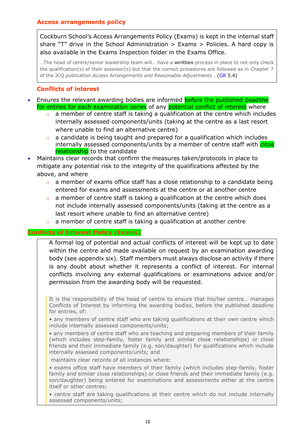## <span id="page-11-0"></span>**Access arrangements policy**

Cockburn School's Access Arrangements Policy (Exams) is kept in the internal staff share "T" drive in the School Administration  $>$  Exams  $>$  Policies. A hard copy is also available in the Exams Inspection folder in the Exams Office.

…The head of centre/senior leadership team will… have a **written** process in place to not only check the qualification(s) of their assessor(s) but that the correct procedures are followed as in Chapter 7 of the JCQ publication *Access Arrangements and Reasonable Adjust*ments… [\(GR](http://www.jcq.org.uk/exams-office/general-regulations) 5.4)

## **Conflicts of interest**

- <span id="page-11-1"></span>• Ensures the relevant awarding bodies are informed before the published deadline for entries for each examination series of any potential conflict of interest where
	- $\circ$  a member of centre staff is taking a qualification at the centre which includes internally assessed components/units (taking at the centre as a last resort where unable to find an alternative centre)
	- o a candidate is being taught and prepared for a qualification which includes internally assessed components/units by a member of centre staff with close relationship to the candidate
- Maintains clear records that confirm the measures taken/protocols in place to mitigate any potential risk to the integrity of the qualifications affected by the above, and where
	- o a member of exams office staff has a close relationship to a candidate being entered for exams and assessments at the centre or at another centre
	- $\circ$  a member of centre staff is taking a qualification at the centre which does not include internally assessed components/units (taking at the centre as a last resort where unable to find an alternative centre)
	- o a member of centre staff is taking a qualification at another centre

#### <span id="page-11-2"></span>**Conflicts of Interest Policy (Exams)**

A formal log of potential and actual conflicts of interest will be kept up to date within the centre and made available on request by an examination awarding body (see appendix six). Staff members must always disclose an activity if there is any doubt about whether it represents a conflict of interest. For internal conflicts involving any external qualifications or examinations advice and/or permission from the awarding body will be requested.

It is the responsibility of the head of centre to ensure that his/her centre… manages Conflicts of Interest by informing the awarding bodies, before the published deadline for entries, of:

• any members of centre staff who are taking qualifications at their own centre which include internally assessed components/units;

• any members of centre staff who are teaching and preparing members of their family (which includes step-family, foster family and similar close relationships) or close friends and their immediate family (e.g. son/daughter) for qualifications which include internally assessed components/units; and

maintains clear records of all instances where:

• exams office staff have members of their family (which includes step-family, foster family and similar close relationships) or close friends and their immediate family (e.g. son/daughter) being entered for examinations and assessments either at the centre itself or other centres;

• centre staff are taking qualifications at their centre which do not include internally assessed components/units;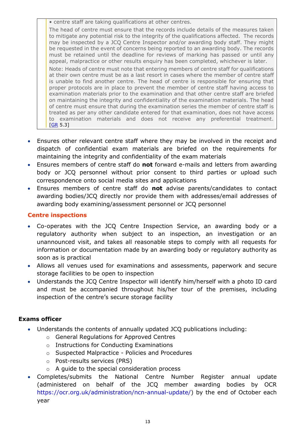• centre staff are taking qualifications at other centres.

The head of centre must ensure that the records include details of the measures taken to mitigate any potential risk to the integrity of the qualifications affected. The records may be inspected by a JCQ Centre Inspector and/or awarding body staff. They might be requested in the event of concerns being reported to an awarding body. The records must be retained until the deadline for reviews of marking has passed or until any appeal, malpractice or other results enquiry has been completed, whichever is later.

Note: Heads of centre must note that entering members of centre staff for qualifications at their own centre must be as a last resort in cases where the member of centre staff is unable to find another centre. The head of centre is responsible for ensuring that proper protocols are in place to prevent the member of centre staff having access to examination materials prior to the examination and that other centre staff are briefed on maintaining the integrity and confidentiality of the examination materials. The head of centre must ensure that during the examination series the member of centre staff is treated as per any other candidate entered for that examination, does not have access to examination materials and does not receive any preferential treatment.  $[GR 5.3]$  $[GR 5.3]$ 

- Ensures other relevant centre staff where they may be involved in the receipt and dispatch of confidential exam materials are briefed on the requirements for maintaining the integrity and confidentiality of the exam materials
- Ensures members of centre staff do **not** forward e-mails and letters from awarding body or JCQ personnel without prior consent to third parties or upload such correspondence onto social media sites and applications
- Ensures members of centre staff do **not** advise parents/candidates to contact awarding bodies/JCQ directly nor provide them with addresses/email addresses of awarding body examining/assessment personnel or JCQ personnel

## <span id="page-12-0"></span>**Centre inspections**

- Co-operates with the JCQ Centre Inspection Service, an awarding body or a regulatory authority when subject to an inspection, an investigation or an unannounced visit, and takes all reasonable steps to comply with all requests for information or documentation made by an awarding body or regulatory authority as soon as is practical
- Allows all venues used for examinations and assessments, paperwork and secure storage facilities to be open to inspection
- Understands the JCQ Centre Inspector will identify him/herself with a photo ID card and must be accompanied throughout his/her tour of the premises, including inspection of the centre's secure storage facility

## **Exams officer**

- Understands the contents of annually updated JCQ publications including:
	- o [General Regulations for Approved Centres](http://www.jcq.org.uk/exams-office/general-regulations)
	- o [Instructions for Conducting Examinations](http://www.jcq.org.uk/exams-office/ice---instructions-for-conducting-examinations)
	- o [Suspected Malpractice -](http://www.jcq.org.uk/exams-office/malpractice) Policies and Procedures
	- o [Post-results services](http://www.jcq.org.uk/exams-office/post-results-services) (PRS)
	- o [A guide to the special consideration process](https://www.jcq.org.uk/exams-office/access-arrangements-and-special-consideration/regulations-and-guidance/)
- Completes/submits the National Centre Number Register annual update (administered on behalf of the JCQ member awarding bodies by OCR [https://ocr.org.uk/administration/ncn-annual-update/\)](https://ocr.org.uk/administration/ncn-annual-update/) by the end of October each year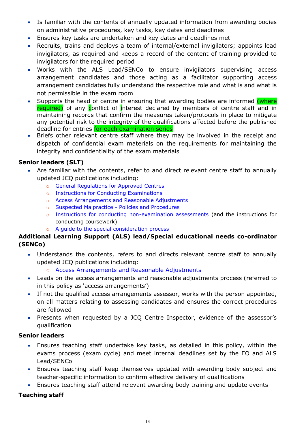- Is familiar with the contents of annually updated information from awarding bodies on administrative procedures, key tasks, key dates and deadlines
- Ensures key tasks are undertaken and key dates and deadlines met
- Recruits, trains and deploys a team of internal/external invigilators; appoints lead invigilators, as required and keeps a record of the content of training provided to invigilators for the required period
- Works with the ALS Lead/SENCo to ensure invigilators supervising access arrangement candidates and those acting as a facilitator supporting access arrangement candidates fully understand the respective role and what is and what is not permissible in the exam room
- Supports the head of centre in ensuring that awarding bodies are informed (where required) of any conflict of interest declared by members of centre staff and in maintaining records that confirm the measures taken/protocols in place to mitigate any potential risk to the integrity of the qualifications affected before the published deadline for entries for each examination series
- Briefs other relevant centre staff where they may be involved in the receipt and dispatch of confidential exam materials on the requirements for maintaining the integrity and confidentiality of the exam materials

## **Senior leaders (SLT)**

- Are familiar with the contents, refer to and direct relevant centre staff to annually updated JCQ publications including:
	- o [General Regulations for Approved Centres](http://www.jcq.org.uk/exams-office/general-regulations)
	- o [Instructions for Conducting Examinations](http://www.jcq.org.uk/exams-office/ice---instructions-for-conducting-examinations)
	- o [Access Arrangements and Reasonable Adjustments](http://www.jcq.org.uk/exams-office/access-arrangements-and-special-consideration/regulations-and-guidance)
	- o [Suspected Malpractice -](http://www.jcq.org.uk/exams-office/malpractice) Policies and Procedures
	- o [Instructions for conducting non-examination assessments](http://www.jcq.org.uk/exams-office/non-examination-assessments) (and the instructions for conducting coursework)
	- o [A guide to the special consideration process](http://www.jcq.org.uk/exams-office/access-arrangements-and-special-consideration/regulations-and-guidance)

## **Additional Learning Support (ALS) lead/Special educational needs co-ordinator (SENCo)**

- Understands the contents, refers to and directs relevant centre staff to annually updated JCQ publications including:
	- o [Access Arrangements and Reasonable Adjustments](http://www.jcq.org.uk/exams-office/access-arrangements-and-special-consideration/regulations-and-guidance)
- Leads on the access arrangements and reasonable adjustments process (referred to in this policy as 'access arrangements')
- If not the qualified access arrangements assessor, works with the person appointed, on all matters relating to assessing candidates and ensures the correct procedures are followed
- Presents when requested by a JCQ Centre Inspector, evidence of the assessor's qualification

## **Senior leaders**

- Ensures teaching staff undertake key tasks, as detailed in this policy, within the exams process (exam cycle) and meet internal deadlines set by the EO and ALS Lead/SENCo
- Ensures teaching staff keep themselves updated with awarding body subject and teacher-specific information to confirm effective delivery of qualifications
- Ensures teaching staff attend relevant awarding body training and update events

## **Teaching staff**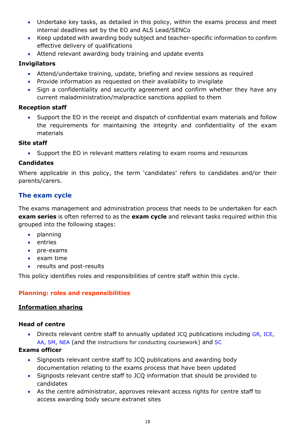- Undertake key tasks, as detailed in this policy, within the exams process and meet internal deadlines set by the EO and ALS Lead/SENCo
- Keep updated with awarding body subject and teacher-specific information to confirm effective delivery of qualifications
- Attend relevant awarding body training and update events

## **Invigilators**

- Attend/undertake training, update, briefing and review sessions as required
- Provide information as requested on their availability to invigilate
- Sign a confidentiality and security agreement and confirm whether they have any current maladministration/malpractice sanctions applied to them

## **Reception staff**

• Support the EO in the receipt and dispatch of confidential exam materials and follow the requirements for maintaining the integrity and confidentiality of the exam materials

## **Site staff**

• Support the EO in relevant matters relating to exam rooms and resources

## **Candidates**

Where applicable in this policy, the term 'candidates' refers to candidates and/or their parents/carers.

## <span id="page-14-0"></span>**The exam cycle**

The exams management and administration process that needs to be undertaken for each **exam series** is often referred to as the **exam cycle** and relevant tasks required within this grouped into the following stages:

- planning
- entries
- pre-exams
- exam time
- results and post-results

This policy identifies roles and responsibilities of centre staff within this cycle.

## <span id="page-14-1"></span>**Planning: roles and responsibilities**

## <span id="page-14-2"></span>**Information sharing**

## **Head of centre**

• Directs relevant centre staff to annually updated JCQ publications including [GR,](http://www.jcq.org.uk/exams-office/general-regulations) [ICE,](http://www.jcq.org.uk/exams-office/ice---instructions-for-conducting-examinations) [AA,](http://www.jcq.org.uk/exams-office/access-arrangements-and-special-consideration) [SM,](http://www.jcq.org.uk/exams-office/malpractice) [NEA](http://www.jcq.org.uk/exams-office/non-examination-assessments) (and the instructions for conducting coursework) and [SC](http://www.jcq.org.uk/exams-office/access-arrangements-and-special-consideration/regulations-and-guidance)

## **Exams officer**

- Signposts relevant centre staff to JCQ publications and awarding body documentation relating to the exams process that have been updated
- Signposts relevant centre staff to JCQ information that should be provided to candidates
- As the centre administrator, approves relevant access rights for centre staff to access awarding body secure extranet sites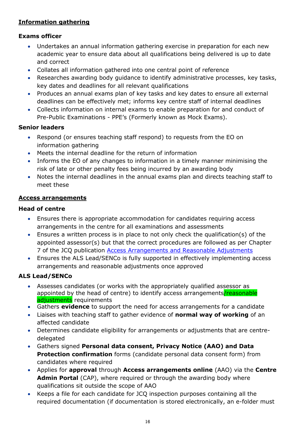## <span id="page-15-0"></span>**Information gathering**

## **Exams officer**

- Undertakes an annual information gathering exercise in preparation for each new academic year to ensure data about all qualifications being delivered is up to date and correct
- Collates all information gathered into one central point of reference
- Researches awarding body guidance to identify administrative processes, key tasks, key dates and deadlines for all relevant qualifications
- Produces an annual exams plan of key tasks and key dates to ensure all external deadlines can be effectively met; informs key centre staff of internal deadlines
- Collects information on internal exams to enable preparation for and conduct of Pre-Public Examinations - PPE's (Formerly known as Mock Exams).

## **Senior leaders**

- Respond (or ensures teaching staff respond) to requests from the EO on information gathering
- Meets the internal deadline for the return of information
- Informs the EO of any changes to information in a timely manner minimising the risk of late or other penalty fees being incurred by an awarding body
- Notes the internal deadlines in the annual exams plan and directs teaching staff to meet these

#### <span id="page-15-1"></span>**Access arrangements**

#### **Head of centre**

- Ensures there is appropriate accommodation for candidates requiring access arrangements in the centre for all examinations and assessments
- Ensures a written process is in place to not only check the qualification(s) of the appointed assessor(s) but that the correct procedures are followed as per Chapter 7 of the JCQ publication [Access Arrangements and Reasonable Adjustments](http://www.jcq.org.uk/exams-office/access-arrangements-and-special-consideration/regulations-and-guidance)
- Ensures the ALS Lead/SENCo is fully supported in effectively implementing access arrangements and reasonable adjustments once approved

## **ALS Lead/SENCo**

- Assesses candidates (or works with the appropriately qualified assessor as appointed by the head of centre) to identify access arrangements/reasonable adjustments requirements
- Gathers **evidence** to support the need for access arrangements for a candidate
- Liaises with teaching staff to gather evidence of **normal way of working** of an affected candidate
- Determines candidate eligibility for arrangements or adjustments that are centredelegated
- Gathers signed **Personal data consent, Privacy Notice (AAO) and Data Protection confirmation** forms (candidate personal data consent form) from candidates where required
- Applies for **approval** through **Access arrangements online** (AAO) via the **Centre Admin Portal** (CAP), where required or through the awarding body where qualifications sit outside the scope of AAO
- Keeps a file for each candidate for JCQ inspection purposes containing all the required documentation (if documentation is stored electronically, an e-folder must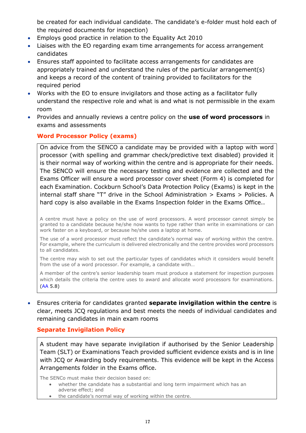be created for each individual candidate. The candidate's e-folder must hold each of the required documents for inspection)

- Employs good practice in relation to the Equality Act 2010
- Liaises with the EO regarding exam time arrangements for access arrangement candidates
- Ensures staff appointed to facilitate access arrangements for candidates are appropriately trained and understand the rules of the particular arrangement(s) and keeps a record of the content of training provided to facilitators for the required period
- Works with the EO to ensure invigilators and those acting as a facilitator fully understand the respective role and what is and what is not permissible in the exam room
- Provides and annually reviews a centre policy on the **use of word processors** in exams and assessments

## <span id="page-16-0"></span>**Word Processor Policy (exams)**

On advice from the SENCO a candidate may be provided with a laptop with word processor (with spelling and grammar check/predictive text disabled) provided it is their normal way of working within the centre and is appropriate for their needs. The SENCO will ensure the necessary testing and evidence are collected and the Exams Officer will ensure a word processor cover sheet (Form 4) is completed for each Examination. Cockburn School's Data Protection Policy (Exams) is kept in the internal staff share "T" drive in the School Administration > Exams > Policies. A hard copy is also available in the Exams Inspection folder in the Exams Office..

A centre must have a policy on the use of word processors. A word processor cannot simply be granted to a candidate because he/she now wants to type rather than write in examinations or can work faster on a keyboard, or because he/she uses a laptop at home.

The use of a word processor must reflect the candidate's normal way of working within the centre. For example, where the curriculum is delivered electronically and the centre provides word processors to all candidates.

The centre may wish to set out the particular types of candidates which it considers would benefit from the use of a word processor. For example, a candidate with…

A member of the centre's senior leadership team must produce a statement for inspection purposes which details the criteria the centre uses to award and allocate word processors for examinations. [\(AA](http://www.jcq.org.uk/exams-office/access-arrangements-and-special-consideration) 5.8)

• Ensures criteria for candidates granted **separate invigilation within the centre** is clear, meets JCQ regulations and best meets the needs of individual candidates and remaining candidates in main exam rooms

## <span id="page-16-1"></span>**Separate Invigilation Policy**

A student may have separate invigilation if authorised by the Senior Leadership Team (SLT) or Examinations Teach provided sufficient evidence exists and is in line with JCQ or Awarding body requirements. This evidence will be kept in the Access Arrangements folder in the Exams office.

The SENCo must make their decision based on:

- whether the candidate has a substantial and long term impairment which has an
	- adverse effect; and
- the candidate's normal way of working within the centre.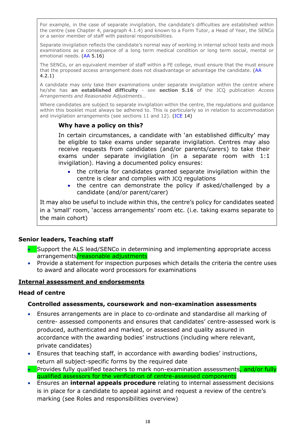For example, in the case of separate invigilation, the candidate's difficulties are established within the centre (see Chapter 4, paragraph 4.1.4) and known to a Form Tutor, a Head of Year, the SENCo or a senior member of staff with pastoral responsibilities.

Separate invigilation reflects the candidate's normal way of working in internal school tests and mock examinations as a consequence of a long term medical condition or long term social, mental or emotional needs. [\(AA](http://www.jcq.org.uk/exams-office/access-arrangements-and-special-consideration) 5.16)

The SENCo, or an equivalent member of staff within a FE college, must ensure that the must ensure that the proposed access arrangement does not disadvantage or advantage the candidate. [\(AA](http://www.jcq.org.uk/exams-office/access-arrangements-and-special-consideration) 4.2.1)

A candidate may only take their examinations under separate invigilation within the centre where he/she has **an established difficulty** - see **section 5.16** of the JCQ publication *Access Arrangements and Reasonable Adjustments*…

Where candidates are subject to separate invigilation within the centre, the regulations and guidance within this booklet must always be adhered to. This is particularly so in relation to accommodation and invigilation arrangements (see sections 11 and 12). [\(ICE](http://www.jcq.org.uk/exams-office/ice---instructions-for-conducting-examinations) 14)

## **Why have a policy on this?**

In certain circumstances, a candidate with 'an established difficulty' may be eligible to take exams under separate invigilation. Centres may also receive requests from candidates (and/or parents/carers) to take their exams under separate invigilation (in a separate room with 1:1 invigilation). Having a documented policy ensures:

- the criteria for candidates granted separate invigilation within the centre is clear and complies with JCQ regulations
- the centre can demonstrate the policy if asked/challenged by a candidate (and/or parent/carer)

It may also be useful to include within this, the centre's policy for candidates seated in a 'small' room, 'access arrangements' room etc. (i.e. taking exams separate to the main cohort)

## **Senior leaders, Teaching staff**

- Support the ALS lead/SENCo in determining and implementing appropriate access arrangements/reasonable adjustments
- Provide a statement for inspection purposes which details the criteria the centre uses to award and allocate word processors for examinations

#### <span id="page-17-0"></span>**Internal assessment and endorsements**

#### **Head of centre**

#### **Controlled assessments, coursework and non-examination assessments**

- Ensures arrangements are in place to co-ordinate and standardise all marking of centre- assessed components and ensures that candidates' centre-assessed work is produced, authenticated and marked, or assessed and quality assured in accordance with the awarding bodies' instructions (including where relevant, private candidates)
- Ensures that teaching staff, in accordance with awarding bodies' instructions, return all subject-specific forms by the required date
- **•** Provides fully qualified teachers to mark non-examination assessments, and/or fully qualified assessors for the verification of centre-assessed components
- Ensures an **internal appeals procedure** relating to internal assessment decisions is in place for a candidate to appeal against and request a review of the centre's marking (see Roles and responsibilities overview)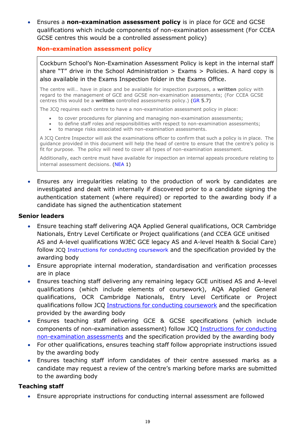• Ensures a **non-examination assessment policy** is in place for GCE and GCSE qualifications which include components of non-examination assessment (For CCEA GCSE centres this would be a controlled assessment policy)

#### <span id="page-18-0"></span>**Non-examination assessment policy**

Cockburn School's Non-Examination Assessment Policy is kept in the internal staff share "T" drive in the School Administration  $>$  Exams  $>$  Policies. A hard copy is also available in the Exams Inspection folder in the Exams Office.

The centre will… have in place and be available for inspection purposes, a **written** policy with regard to the management of GCE and GCSE non-examination assessments; (For CCEA GCSE centres this would be a **written** controlled assessments policy.) [\(GR](http://www.jcq.org.uk/exams-office/general-regulations) 5.7)

The JCQ requires each centre to have a non-examination assessment policy in place:

- to cover procedures for planning and managing non-examination assessments;
- to define staff roles and responsibilities with respect to non-examination assessments;
- to manage risks associated with non-examination assessments.

A JCQ Centre Inspector will ask the examinations officer to confirm that such a policy is in place. The guidance provided in this document will help the head of centre to ensure that the centre's policy is fit for purpose. The policy will need to cover all types of non-examination assessment.

Additionally, each centre must have available for inspection an internal appeals procedure relating to internal assessment decisions. [\(NEA](https://www.jcq.org.uk/exams-office/non-examination-assessments) 1)

• Ensures any irregularities relating to the production of work by candidates are investigated and dealt with internally if discovered prior to a candidate signing the authentication statement (where required) or reported to the awarding body if a candidate has signed the authentication statement

#### **Senior leaders**

- Ensure teaching staff delivering AQA Applied General qualifications, OCR Cambridge Nationals, Entry Level Certificate or Project qualifications (and CCEA GCE unitised AS and A-level qualifications WJEC GCE legacy AS and A-level Health & Social Care) follow JCQ [Instructions for conducting coursework](http://www.jcq.org.uk/exams-office/coursework) and the specification provided by the awarding body
- Ensure appropriate internal moderation, standardisation and verification processes are in place
- Ensures teaching staff delivering any remaining legacy GCE unitised AS and A-level qualifications (which include elements of coursework), AQA Applied General qualifications, OCR Cambridge Nationals, Entry Level Certificate or Project qualifications follow JCQ [Instructions for conducting coursework](http://www.jcq.org.uk/exams-office/coursework) and the specification provided by the awarding body
- Ensures teaching staff delivering GCE & GCSE specifications (which include components of non-examination assessment) follow JCQ [Instructions for conducting](http://www.jcq.org.uk/exams-office/non-examination-assessments)  [non-examination assessments](http://www.jcq.org.uk/exams-office/non-examination-assessments) and the specification provided by the awarding body
- For other qualifications, ensures teaching staff follow appropriate instructions issued by the awarding body
- Ensures teaching staff inform candidates of their centre assessed marks as a candidate may request a review of the centre's marking before marks are submitted to the awarding body

#### **Teaching staff**

• Ensure appropriate instructions for conducting internal assessment are followed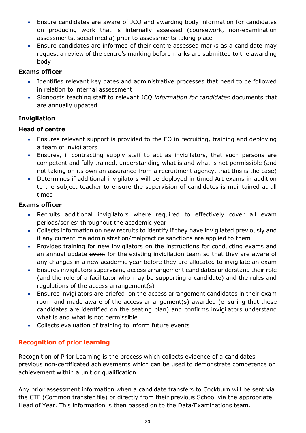- Ensure candidates are aware of JCQ and awarding body information for candidates on producing work that is internally assessed (coursework, non-examination assessments, social media) prior to assessments taking place
- Ensure candidates are informed of their centre assessed marks as a candidate may request a review of the centre's marking before marks are submitted to the awarding body

## **Exams officer**

- Identifies relevant key dates and administrative processes that need to be followed in relation to internal assessment
- Signposts teaching staff to relevant JCQ *information for candidates* documents that are annually updated

## <span id="page-19-0"></span>**Invigilation**

## **Head of centre**

- Ensures relevant support is provided to the EO in recruiting, training and deploying a team of invigilators
- Ensures, if contracting supply staff to act as invigilators, that such persons are competent and fully trained, understanding what is and what is not permissible (and not taking on its own an assurance from a recruitment agency, that this is the case)
- Determines if additional invigilators will be deployed in timed Art exams in addition to the subject teacher to ensure the supervision of candidates is maintained at all times

## **Exams officer**

- Recruits additional invigilators where required to effectively cover all exam periods/series' throughout the academic year
- Collects information on new recruits to identify if they have invigilated previously and if any current maladministration/malpractice sanctions are applied to them
- Provides training for new invigilators on the instructions for conducting exams and an annual update event for the existing invigilation team so that they are aware of any changes in a new academic year before they are allocated to invigilate an exam
- Ensures invigilators supervising access arrangement candidates understand their role (and the role of a facilitator who may be supporting a candidate) and the rules and regulations of the access arrangement(s)
- Ensures invigilators are briefed on the access arrangement candidates in their exam room and made aware of the access arrangement(s) awarded (ensuring that these candidates are identified on the seating plan) and confirms invigilators understand what is and what is not permissible
- Collects evaluation of training to inform future events

## <span id="page-19-1"></span>**Recognition of prior learning**

Recognition of Prior Learning is the process which collects evidence of a candidates previous non-certificated achievements which can be used to demonstrate competence or achievement within a unit or qualification.

Any prior assessment information when a candidate transfers to Cockburn will be sent via the CTF (Common transfer file) or directly from their previous School via the appropriate Head of Year. This information is then passed on to the Data/Examinations team.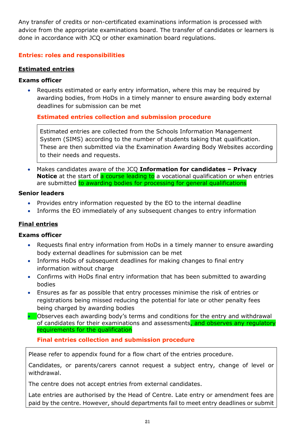Any transfer of credits or non-certificated examinations information is processed with advice from the appropriate examinations board. The transfer of candidates or learners is done in accordance with JCQ or other examination board regulations.

## <span id="page-20-0"></span>**Entries: roles and responsibilities**

## <span id="page-20-1"></span>**Estimated entries**

## **Exams officer**

• Requests estimated or early entry information, where this may be required by awarding bodies, from HoDs in a timely manner to ensure awarding body external deadlines for submission can be met

## <span id="page-20-2"></span>**Estimated entries collection and submission procedure**

Estimated entries are collected from the Schools Information Management System (SIMS) according to the number of students taking that qualification. These are then submitted via the Examination Awarding Body Websites according to their needs and requests.

• Makes candidates aware of the JCQ **Information for candidates – Privacy Notice** at the start of **a course leading to** a vocational qualification or when entries are submitted to awarding bodies for processing for general qualifications

## **Senior leaders**

- Provides entry information requested by the EO to the internal deadline
- Informs the EO immediately of any subsequent changes to entry information

## <span id="page-20-3"></span>**Final entries**

## **Exams officer**

- Requests final entry information from HoDs in a timely manner to ensure awarding body external deadlines for submission can be met
- Informs HoDs of subsequent deadlines for making changes to final entry information without charge
- Confirms with HoDs final entry information that has been submitted to awarding bodies
- Ensures as far as possible that entry processes minimise the risk of entries or registrations being missed reducing the potential for late or other penalty fees being charged by awarding bodies
- Observes each awarding body's terms and conditions for the entry and withdrawal of candidates for their examinations and assessments, and observes any regulatory requirements for the qualification

## **Final entries collection and submission procedure**

<span id="page-20-4"></span>Please refer to appendix found for a flow chart of the entries procedure.

Candidates, or parents/carers cannot request a subject entry, change of level or withdrawal.

The centre does not accept entries from external candidates.

Late entries are authorised by the Head of Centre. Late entry or amendment fees are paid by the centre. However, should departments fail to meet entry deadlines or submit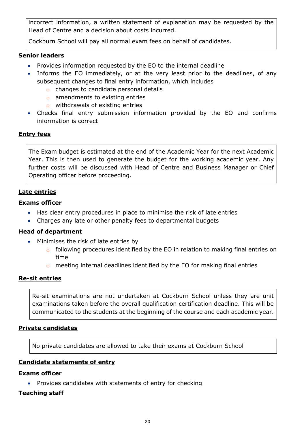incorrect information, a written statement of explanation may be requested by the Head of Centre and a decision about costs incurred.

Cockburn School will pay all normal exam fees on behalf of candidates.

## **Senior leaders**

- Provides information requested by the EO to the internal deadline
- Informs the EO immediately, or at the very least prior to the deadlines, of any subsequent changes to final entry information, which includes
	- o changes to candidate personal details
	- o amendments to existing entries
	- o withdrawals of existing entries
- Checks final entry submission information provided by the EO and confirms information is correct

## <span id="page-21-0"></span>**Entry fees**

The Exam budget is estimated at the end of the Academic Year for the next Academic Year. This is then used to generate the budget for the working academic year. Any further costs will be discussed with Head of Centre and Business Manager or Chief Operating officer before proceeding.

## <span id="page-21-1"></span>**Late entries**

## **Exams officer**

- Has clear entry procedures in place to minimise the risk of late entries
- Charges any late or other penalty fees to departmental budgets

#### **Head of department**

- Minimises the risk of late entries by
	- o following procedures identified by the EO in relation to making final entries on time
	- o meeting internal deadlines identified by the EO for making final entries

## <span id="page-21-2"></span>**Re-sit entries**

Re-sit examinations are not undertaken at Cockburn School unless they are unit examinations taken before the overall qualification certification deadline. This will be communicated to the students at the beginning of the course and each academic year.

## <span id="page-21-3"></span>**Private candidates**

No private candidates are allowed to take their exams at Cockburn School

## <span id="page-21-4"></span>**Candidate statements of entry**

#### **Exams officer**

• Provides candidates with statements of entry for checking

## **Teaching staff**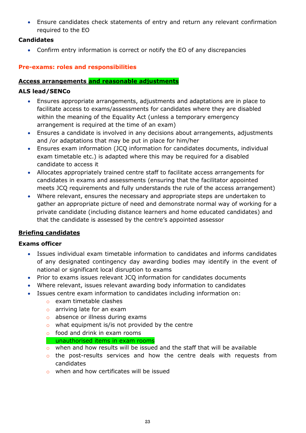• Ensure candidates check statements of entry and return any relevant confirmation required to the EO

## **Candidates**

• Confirm entry information is correct or notify the EO of any discrepancies

## <span id="page-22-0"></span>**Pre-exams: roles and responsibilities**

## <span id="page-22-1"></span>**Access arrangements and reasonable adjustments**

## **ALS lead/SENCo**

- Ensures appropriate arrangements, adjustments and adaptations are in place to facilitate access to exams/assessments for candidates where they are disabled within the meaning of the Equality Act (unless a temporary emergency arrangement is required at the time of an exam)
- Ensures a candidate is involved in any decisions about arrangements, adjustments and /or adaptations that may be put in place for him/her
- Ensures exam information (JCQ information for candidates documents, individual exam timetable etc.) is adapted where this may be required for a disabled candidate to access it
- Allocates appropriately trained centre staff to facilitate access arrangements for candidates in exams and assessments (ensuring that the facilitator appointed meets JCQ requirements and fully understands the rule of the access arrangement)
- Where relevant, ensures the necessary and appropriate steps are undertaken to gather an appropriate picture of need and demonstrate normal way of working for a private candidate (including distance learners and home educated candidates) and that the candidate is assessed by the centre's appointed assessor

## <span id="page-22-2"></span>**Briefing candidates**

## **Exams officer**

- Issues individual exam timetable information to candidates and informs candidates of any designated contingency day awarding bodies may identify in the event of national or significant local disruption to exams
- Prior to exams issues relevant JCQ information for candidates documents
- Where relevant, issues relevant awarding body information to candidates
- Issues centre exam information to candidates including information on:
	- o exam timetable clashes
	- o arriving late for an exam
	- o absence or illness during exams
	- $\circ$  what equipment is/is not provided by the centre
	- o food and drink in exam rooms
	- o unauthorised items in exam rooms
	- o when and how results will be issued and the staff that will be available
	- o the post-results services and how the centre deals with requests from candidates
	- o when and how certificates will be issued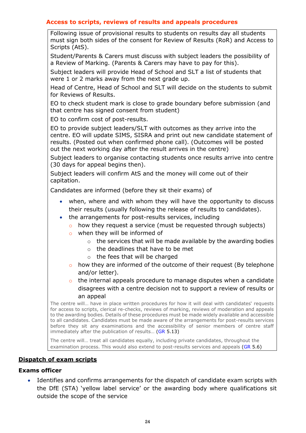#### <span id="page-23-0"></span>**Access to scripts, reviews of results and appeals procedures**

Following issue of provisional results to students on results day all students must sign both sides of the consent for Review of Results (RoR) and Access to Scripts (AtS).

Student/Parents & Carers must discuss with subject leaders the possibility of a Review of Marking. (Parents & Carers may have to pay for this).

Subject leaders will provide Head of School and SLT a list of students that were 1 or 2 marks away from the next grade up.

Head of Centre, Head of School and SLT will decide on the students to submit for Reviews of Results.

EO to check student mark is close to grade boundary before submission (and that centre has signed consent from student)

EO to confirm cost of post-results.

EO to provide subject leaders/SLT with outcomes as they arrive into the centre. EO will update SIMS, SISRA and print out new candidate statement of results. (Posted out when confirmed phone call). (Outcomes will be posted out the next working day after the result arrives in the centre)

Subject leaders to organise contacting students once results arrive into centre (30 days for appeal begins then).

Subject leaders will confirm AtS and the money will come out of their capitation.

Candidates are informed (before they sit their exams) of

- when, where and with whom they will have the opportunity to discuss their results (usually following the release of results to candidates).
- the arrangements for post-results services, including
	- o how they request a service (must be requested through subjects)
	- o when they will be informed of
		- $\circ$  the services that will be made available by the awarding bodies
		- o the deadlines that have to be met
		- o the fees that will be charged
	- $\circ$  how they are informed of the outcome of their request (By telephone and/or letter).
	- o the internal appeals procedure to manage disputes when a candidate disagrees with a centre decision not to support a review of results or an appeal

The centre will… have in place written procedures for how it will deal with candidates' requests for access to scripts, clerical re-checks, reviews of marking, reviews of moderation and appeals to the awarding bodies. Details of these procedures must be made widely available and accessible to all candidates. Candidates must be made aware of the arrangements for post-results services before they sit any examinations and the accessibility of senior members of centre staff immediately after the publication of results... [\(GR](http://www.jcq.org.uk/exams-office/general-regulations) 5.13)

The centre will… treat all candidates equally, including private candidates, throughout the examination process. This would also extend to post-results services and appeals [\(GR](http://www.jcq.org.uk/exams-office/general-regulations) 5.6)

## <span id="page-23-1"></span>**Dispatch of exam scripts**

#### **Exams officer**

Identifies and confirms arrangements for the dispatch of candidate exam scripts with the DfE (STA) 'yellow label service' or the awarding body where qualifications sit outside the scope of the service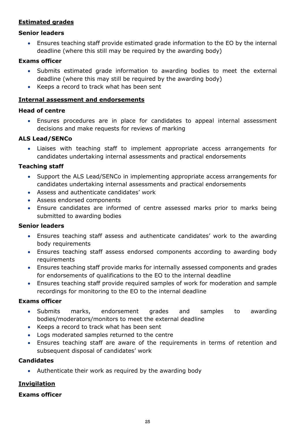## <span id="page-24-0"></span>**Estimated grades**

#### **Senior leaders**

• Ensures teaching staff provide estimated grade information to the EO by the internal deadline (where this still may be required by the awarding body)

#### **Exams officer**

- Submits estimated grade information to awarding bodies to meet the external deadline (where this may still be required by the awarding body)
- Keeps a record to track what has been sent

#### <span id="page-24-1"></span>**Internal assessment and endorsements**

## **Head of centre**

• Ensures procedures are in place for candidates to appeal internal assessment decisions and make requests for reviews of marking

#### **ALS Lead/SENCo**

• Liaises with teaching staff to implement appropriate access arrangements for candidates undertaking internal assessments and practical endorsements

#### **Teaching staff**

- Support the ALS Lead/SENCo in implementing appropriate access arrangements for candidates undertaking internal assessments and practical endorsements
- Assess and authenticate candidates' work
- Assess endorsed components
- Ensure candidates are informed of centre assessed marks prior to marks being submitted to awarding bodies

#### **Senior leaders**

- Ensures teaching staff assess and authenticate candidates' work to the awarding body requirements
- Ensures teaching staff assess endorsed components according to awarding body requirements
- Ensures teaching staff provide marks for internally assessed components and grades for endorsements of qualifications to the EO to the internal deadline
- Ensures teaching staff provide required samples of work for moderation and sample recordings for monitoring to the EO to the internal deadline

#### **Exams officer**

- Submits marks, endorsement grades and samples to awarding bodies/moderators/monitors to meet the external deadline
- Keeps a record to track what has been sent
- Logs moderated samples returned to the centre
- Ensures teaching staff are aware of the requirements in terms of retention and subsequent disposal of candidates' work

#### **Candidates**

• Authenticate their work as required by the awarding body

## <span id="page-24-2"></span>**Invigilation**

#### **Exams officer**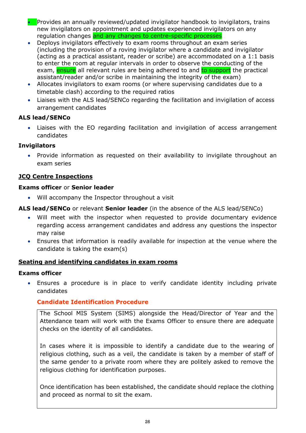- Provides an annually reviewed/updated invigilator handbook to invigilators, trains new invigilators on appointment and updates experienced invigilators on any regulation changes and any changes to centre-specific processes
- Deploys invigilators effectively to exam rooms throughout an exam series (including the provision of a roving invigilator where a candidate and invigilator (acting as a practical assistant, reader or scribe) are accommodated on a 1:1 basis to enter the room at regular intervals in order to observe the conducting of the exam, **ensure** all relevant rules are being adhered to and to support the practical assistant/reader and/or scribe in maintaining the integrity of the exam)
- Allocates invigilators to exam rooms (or where supervising candidates due to a timetable clash) according to the required ratios
- Liaises with the ALS lead/SENCo regarding the facilitation and invigilation of access arrangement candidates

## **ALS lead/SENCo**

• Liaises with the EO regarding facilitation and invigilation of access arrangement candidates

## **Invigilators**

• Provide information as requested on their availability to invigilate throughout an exam series

## <span id="page-25-0"></span>**JCQ Centre Inspections**

#### **Exams officer** or **Senior leader**

• Will accompany the Inspector throughout a visit

#### **ALS lead/SENCo** or relevant **Senior leader** (in the absence of the ALS lead/SENCo)

- Will meet with the inspector when requested to provide documentary evidence regarding access arrangement candidates and address any questions the inspector may raise
- Ensures that information is readily available for inspection at the venue where the candidate is taking the exam(s)

#### <span id="page-25-1"></span>**Seating and identifying candidates in exam rooms**

#### **Exams officer**

• Ensures a procedure is in place to verify candidate identity including private candidates

## <span id="page-25-2"></span>**Candidate Identification Procedure**

The School MIS System (SIMS) alongside the Head/Director of Year and the Attendance team will work with the Exams Officer to ensure there are adequate checks on the identity of all candidates.

In cases where it is impossible to identify a candidate due to the wearing of religious clothing, such as a veil, the candidate is taken by a member of staff of the same gender to a private room where they are politely asked to remove the religious clothing for identification purposes.

Once identification has been established, the candidate should replace the clothing and proceed as normal to sit the exam.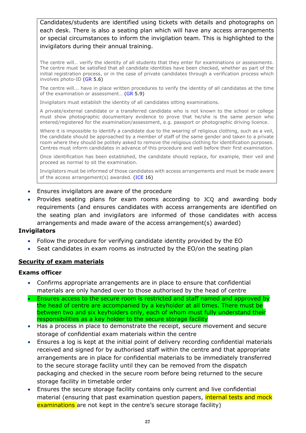Candidates/students are identified using tickets with details and photographs on each desk. There is also a seating plan which will have any access arrangements or special circumstances to inform the invigilation team. This is highlighted to the invigilators during their annual training.

The centre will… verify the identity of all students that they enter for examinations or assessments. The centre must be satisfied that all candidate identities have been checked, whether as part of the initial registration process, or in the case of private candidates through a verification process which involves photo-ID [\(GR](http://www.jcq.org.uk/exams-office/general-regulations) 5.6)

The centre will... have in place written procedures to verify the identity of all candidates at the time of the examination or assessment… [\(GR](http://www.jcq.org.uk/exams-office/general-regulations) 5.9)

Invigilators must establish the identity of all candidates sitting examinations.

A private/external candidate or a transferred candidate who is not known to the school or college must show photographic documentary evidence to prove that he/she is the same person who entered/registered for the examination/assessment, e.g. passport or photographic driving licence.

Where it is impossible to identify a candidate due to the wearing of religious clothing, such as a veil, the candidate should be approached by a member of staff of the same gender and taken to a private room where they should be politely asked to remove the religious clothing for identification purposes. Centres must inform candidates in advance of this procedure and well before their first examination.

Once identification has been established, the candidate should replace, for example, their veil and proceed as normal to sit the examination.

Invigilators must be informed of those candidates with access arrangements and must be made aware of the access arrangement(s) awarded. [\(ICE](http://www.jcq.org.uk/exams-office/ice---instructions-for-conducting-examinations) 16)

- Ensures invigilators are aware of the procedure
- Provides seating plans for exam rooms according to JCQ and awarding body requirements (and ensures candidates with access arrangements are identified on the seating plan and invigilators are informed of those candidates with access arrangements and made aware of the access arrangement(s) awarded)

#### **Invigilators**

- Follow the procedure for verifying candidate identity provided by the EO
- Seat candidates in exam rooms as instructed by the EO/on the seating plan

#### <span id="page-26-0"></span>**Security of exam materials**

#### **Exams officer**

- Confirms appropriate arrangements are in place to ensure that confidential materials are only handed over to those authorised by the head of centre
- Ensures access to the secure room is restricted and staff named and approved by the head of centre are accompanied by a keyholder at all times. There must be between two and six keyholders only, each of whom must fully understand their responsibilities as a key holder to the secure storage facility
- Has a process in place to demonstrate the receipt, secure movement and secure storage of confidential exam materials within the centre
- Ensures a log is kept at the initial point of delivery recording confidential materials received and signed for by authorised staff within the centre and that appropriate arrangements are in place for confidential materials to be immediately transferred to the secure storage facility until they can be removed from the dispatch packaging and checked in the secure room before being returned to the secure storage facility in timetable order
- Ensures the secure storage facility contains only current and live confidential material (ensuring that past examination question papers, *internal tests and mock* examinations are not kept in the centre's secure storage facility)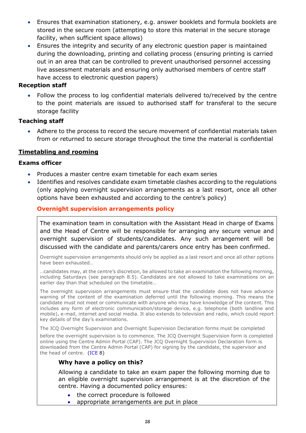- Ensures that examination stationery, e.g. answer booklets and formula booklets are stored in the secure room (attempting to store this material in the secure storage facility, when sufficient space allows)
- Ensures the integrity and security of any electronic question paper is maintained during the downloading, printing and collating process (ensuring printing is carried out in an area that can be controlled to prevent unauthorised personnel accessing live assessment materials and ensuring only authorised members of centre staff have access to electronic question papers)

#### **Reception staff**

• Follow the process to log confidential materials delivered to/received by the centre to the point materials are issued to authorised staff for transferal to the secure storage facility

#### **Teaching staff**

• Adhere to the process to record the secure movement of confidential materials taken from or returned to secure storage throughout the time the material is confidential

## <span id="page-27-0"></span>**Timetabling and rooming**

#### **Exams officer**

- Produces a master centre exam timetable for each exam series
- Identifies and resolves candidate exam timetable clashes according to the regulations (only applying overnight supervision arrangements as a last resort, once all other options have been exhausted and according to the centre's policy)

#### <span id="page-27-1"></span>**Overnight supervision arrangements policy**

The examination team in consultation with the Assistant Head in charge of Exams and the Head of Centre will be responsible for arranging any secure venue and overnight supervision of students/candidates. Any such arrangement will be discussed with the candidate and parents/carers once entry has been confirmed.

Overnight supervision arrangements should only be applied as a last resort and once all other options have been exhausted…

…candidates may, at the centre's discretion, be allowed to take an examination the following morning, including Saturdays (see paragraph 8.5). Candidates are not allowed to take examinations on an earlier day than that scheduled on the timetable…

The overnight supervision arrangements must ensure that the candidate does not have advance warning of the content of the examination deferred until the following morning. This means the candidate must not meet or communicate with anyone who may have knowledge of the content. This includes any form of electronic communication/storage device, e.g. telephone (both landline and mobile), e-mail, internet and social media. It also extends to television and radio, which could report key details of the day's examinations.

The JCQ Overnight Supervision and Overnight Supervision Declaration forms must be completed

before the overnight supervision is to commence. The JCQ Overnight Supervision form is completed online using the Centre Admin Portal (CAP). The JCQ Overnight Supervision Declaration form is downloaded from the Centre Admin Portal (CAP) for signing by the candidate, the supervisor and the head of centre. [\(ICE](http://www.jcq.org.uk/exams-office/ice---instructions-for-conducting-examinations) 8)

## **Why have a policy on this?**

Allowing a candidate to take an exam paper the following morning due to an eligible overnight supervision arrangement is at the discretion of the centre. Having a documented policy ensures:

- the correct procedure is followed
- appropriate arrangements are put in place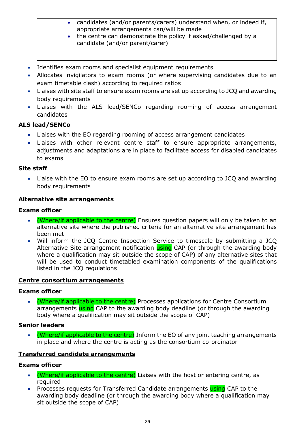- candidates (and/or parents/carers) understand when, or indeed if, appropriate arrangements can/will be made
- the centre can demonstrate the policy if asked/challenged by a candidate (and/or parent/carer)
- Identifies exam rooms and specialist equipment requirements
- Allocates invigilators to exam rooms (or where supervising candidates due to an exam timetable clash) according to required ratios
- Liaises with site staff to ensure exam rooms are set up according to JCQ and awarding body requirements
- Liaises with the ALS lead/SENCo regarding rooming of access arrangement candidates

## **ALS lead/SENCo**

- Liaises with the EO regarding rooming of access arrangement candidates
- Liaises with other relevant centre staff to ensure appropriate arrangements, adjustments and adaptations are in place to facilitate access for disabled candidates to exams

#### **Site staff**

• Liaise with the EO to ensure exam rooms are set up according to JCQ and awarding body requirements

#### <span id="page-28-0"></span>**Alternative site arrangements**

#### **Exams officer**

- (Where/if applicable to the centre) Ensures question papers will only be taken to an alternative site where the published criteria for an alternative site arrangement has been met
- Will inform the JCQ Centre Inspection Service to timescale by submitting a JCQ Alternative Site arrangement notification using CAP (or through the awarding body where a qualification may sit outside the scope of CAP) of any alternative sites that will be used to conduct timetabled examination components of the qualifications listed in the JCQ regulations

#### <span id="page-28-1"></span>**Centre consortium arrangements**

#### **Exams officer**

• (Where/if applicable to the centre) Processes applications for Centre Consortium arrangements using CAP to the awarding body deadline (or through the awarding body where a qualification may sit outside the scope of CAP)

#### **Senior leaders**

• (Where/if applicable to the centre) Inform the EO of any joint teaching arrangements in place and where the centre is acting as the consortium co-ordinator

#### <span id="page-28-2"></span>**Transferred candidate arrangements**

#### **Exams officer**

- (Where/if applicable to the centre) Liaises with the host or entering centre, as required
- Processes requests for Transferred Candidate arrangements using CAP to the awarding body deadline (or through the awarding body where a qualification may sit outside the scope of CAP)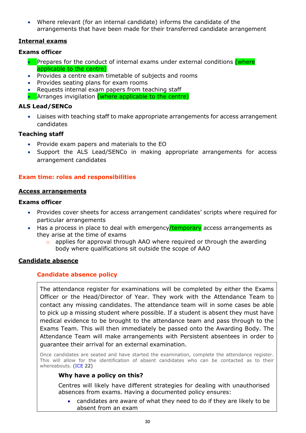• Where relevant (for an internal candidate) informs the candidate of the arrangements that have been made for their transferred candidate arrangement

## <span id="page-29-0"></span>**Internal exams**

## **Exams officer**

- Prepares for the conduct of internal exams under external conditions (where applicable to the centre)
- Provides a centre exam timetable of subjects and rooms
- Provides seating plans for exam rooms
- Requests internal exam papers from teaching staff
- Arranges invigilation (where applicable to the centre)

## **ALS Lead/SENCo**

• Liaises with teaching staff to make appropriate arrangements for access arrangement candidates

#### **Teaching staff**

- Provide exam papers and materials to the EO
- Support the ALS Lead/SENCo in making appropriate arrangements for access arrangement candidates

## <span id="page-29-1"></span>**Exam time: roles and responsibilities**

#### <span id="page-29-2"></span>**Access arrangements**

#### **Exams officer**

- Provides cover sheets for access arrangement candidates' scripts where required for particular arrangements
- Has a process in place to deal with emergency/temporary access arrangements as they arise at the time of exams
	- o applies for approval through AAO where required or through the awarding body where qualifications sit outside the scope of AAO

## <span id="page-29-4"></span><span id="page-29-3"></span>**Candidate absence**

## **Candidate absence policy**

The attendance register for examinations will be completed by either the Exams Officer or the Head/Director of Year. They work with the Attendance Team to contact any missing candidates. The attendance team will in some cases be able to pick up a missing student where possible. If a student is absent they must have medical evidence to be brought to the attendance team and pass through to the Exams Team. This will then immediately be passed onto the Awarding Body. The Attendance Team will make arrangements with Persistent absentees in order to guarantee their arrival for an external examination.

Once candidates are seated and have started the examination, complete the attendance register. This will allow for the identification of absent candidates who can be contacted as to their whereabouts. [\(ICE](http://www.jcq.org.uk/exams-office/ice---instructions-for-conducting-examinations) 22)

## **Why have a policy on this?**

Centres will likely have different strategies for dealing with unauthorised absences from exams. Having a documented policy ensures:

• candidates are aware of what they need to do if they are likely to be absent from an exam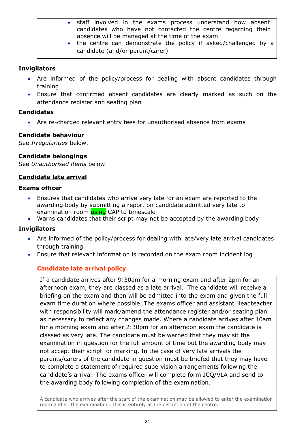- staff involved in the exams process understand how absent candidates who have not contacted the centre regarding their absence will be managed at the time of the exam
- the centre can demonstrate the policy if asked/challenged by a candidate (and/or parent/carer)

## **Invigilators**

- Are informed of the policy/process for dealing with absent candidates through training
- Ensure that confirmed absent candidates are clearly marked as such on the attendance register and seating plan

## **Candidates**

• Are re-charged relevant entry fees for unauthorised absence from exams

## <span id="page-30-0"></span>**Candidate behaviour**

See *Irregularities* below.

## <span id="page-30-1"></span>**Candidate belongings**

See *Unauthorised items* below.

## <span id="page-30-2"></span>**Candidate late arrival**

## **Exams officer**

- Ensures that candidates who arrive very late for an exam are reported to the awarding body by submitting a report on candidate admitted very late to examination room **using** CAP to timescale
- Warns candidates that their script may not be accepted by the awarding body

## **Invigilators**

- Are informed of the policy/process for dealing with late/very late arrival candidates through training
- <span id="page-30-3"></span>• Ensure that relevant information is recorded on the exam room incident log

## **Candidate late arrival policy**

If a candidate arrives after 9:30am for a morning exam and after 2pm for an afternoon exam, they are classed as a late arrival. The candidate will receive a briefing on the exam and then will be admitted into the exam and given the full exam time duration where possible. The exams officer and assistant Headteacher with responsibility will mark/amend the attendance register and/or seating plan as necessary to reflect any changes made. Where a candidate arrives after 10am for a morning exam and after 2:30pm for an afternoon exam the candidate is classed as very late. The candidate must be warned that they may sit the examination in question for the full amount of time but the awarding body may not accept their script for marking. In the case of very late arrivals the parents/carers of the candidate in question must be briefed that they may have to complete a statement of required supervision arrangements following the candidate's arrival. The exams officer will complete form JCQ/VLA and send to the awarding body following completion of the examination.

A candidate who arrives after the start of the examination may be allowed to enter the examination room and sit the examination. This is entirely at the discretion of the centre.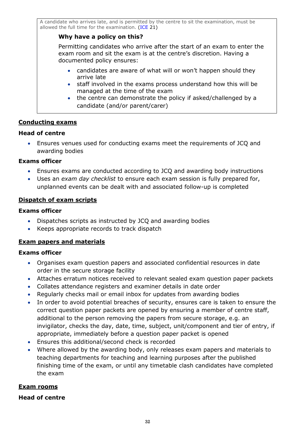A candidate who arrives late, and is permitted by the centre to sit the examination, must be allowed the full time for the examination. [\(ICE](http://www.jcq.org.uk/exams-office/ice---instructions-for-conducting-examinations) 21)

## **Why have a policy on this?**

Permitting candidates who arrive after the start of an exam to enter the exam room and sit the exam is at the centre's discretion. Having a documented policy ensures:

- candidates are aware of what will or won't happen should they arrive late
- staff involved in the exams process understand how this will be managed at the time of the exam
- the centre can demonstrate the policy if asked/challenged by a candidate (and/or parent/carer)

#### <span id="page-31-0"></span>**Conducting exams**

#### **Head of centre**

• Ensures venues used for conducting exams meet the requirements of JCQ and awarding bodies

#### **Exams officer**

- Ensures exams are conducted according to JCQ and awarding body instructions
- Uses an *exam day checklist* to ensure each exam session is fully prepared for, unplanned events can be dealt with and associated follow-up is completed

#### <span id="page-31-1"></span>**Dispatch of exam scripts**

#### **Exams officer**

- Dispatches scripts as instructed by JCQ and awarding bodies
- Keeps appropriate records to track dispatch

#### <span id="page-31-2"></span>**Exam papers and materials**

#### **Exams officer**

- Organises exam question papers and associated confidential resources in date order in the secure storage facility
- Attaches erratum notices received to relevant sealed exam question paper packets
- Collates attendance registers and examiner details in date order
- Regularly checks mail or email inbox for updates from awarding bodies
- In order to avoid potential breaches of security, ensures care is taken to ensure the correct question paper packets are opened by ensuring a member of centre staff, additional to the person removing the papers from secure storage, e.g. an invigilator, checks the day, date, time, subject, unit/component and tier of entry, if appropriate, immediately before a question paper packet is opened
- Ensures this additional/second check is recorded
- Where allowed by the awarding body, only releases exam papers and materials to teaching departments for teaching and learning purposes after the published finishing time of the exam, or until any timetable clash candidates have completed the exam

#### <span id="page-31-3"></span>**Exam rooms**

#### **Head of centre**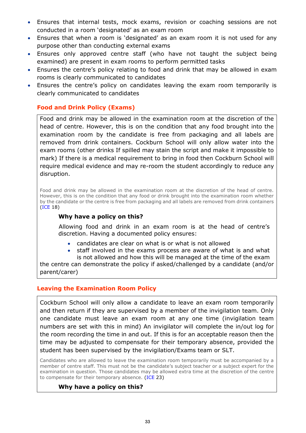- Ensures that internal tests, mock exams, revision or coaching sessions are not conducted in a room 'designated' as an exam room
- Ensures that when a room is 'designated' as an exam room it is not used for any purpose other than conducting external exams
- Ensures only approved centre staff (who have not taught the subject being examined) are present in exam rooms to perform permitted tasks
- Ensures the centre's policy relating to food and drink that may be allowed in exam rooms is clearly communicated to candidates
- <span id="page-32-0"></span>• Ensures the centre's policy on candidates leaving the exam room temporarily is clearly communicated to candidates

## **Food and Drink Policy (Exams)**

Food and drink may be allowed in the examination room at the discretion of the head of centre. However, this is on the condition that any food brought into the examination room by the candidate is free from packaging and all labels are removed from drink containers. Cockburn School will only allow water into the exam rooms (other drinks If spilled may stain the script and make it impossible to mark) If there is a medical requirement to bring in food then Cockburn School will require medical evidence and may re-room the student accordingly to reduce any disruption.

Food and drink may be allowed in the examination room at the discretion of the head of centre. However, this is on the condition that any food or drink brought into the examination room whether by the candidate or the centre is free from packaging and all labels are removed from drink containers [\(ICE](http://www.jcq.org.uk/exams-office/ice---instructions-for-conducting-examinations) 18)

## **Why have a policy on this?**

Allowing food and drink in an exam room is at the head of centre's discretion. Having a documented policy ensures:

- candidates are clear on what is or what is not allowed
- staff involved in the exams process are aware of what is and what is not allowed and how this will be managed at the time of the exam

the centre can demonstrate the policy if asked/challenged by a candidate (and/or parent/carer)

#### <span id="page-32-1"></span>**Leaving the Examination Room Policy**

Cockburn School will only allow a candidate to leave an exam room temporarily and then return if they are supervised by a member of the invigilation team. Only one candidate must leave an exam room at any one time (invigilation team numbers are set with this in mind) An invigilator will complete the in/out log for the room recording the time in and out. If this is for an acceptable reason then the time may be adjusted to compensate for their temporary absence, provided the student has been supervised by the invigilation/Exams team or SLT.

Candidates who are allowed to leave the examination room temporarily must be accompanied by a member of centre staff. This must not be the candidate's subject teacher or a subject expert for the examination in question. Those candidates may be allowed extra time at the discretion of the centre to compensate for their temporary absence. [\(ICE](http://www.jcq.org.uk/exams-office/ice---instructions-for-conducting-examinations) 23)

#### **Why have a policy on this?**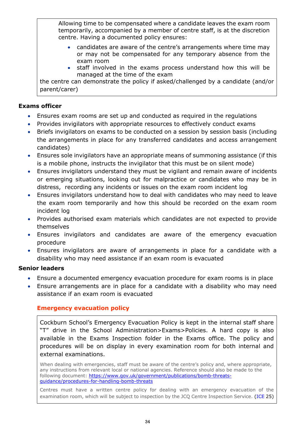Allowing time to be compensated where a candidate leaves the exam room temporarily, accompanied by a member of centre staff, is at the discretion centre. Having a documented policy ensures:

- candidates are aware of the centre's arrangements where time may or may not be compensated for any temporary absence from the exam room
- staff involved in the exams process understand how this will be managed at the time of the exam

the centre can demonstrate the policy if asked/challenged by a candidate (and/or parent/carer)

## **Exams officer**

- Ensures exam rooms are set up and conducted as required in the regulations
- Provides invigilators with appropriate resources to effectively conduct exams
- Briefs invigilators on exams to be conducted on a session by session basis (including the arrangements in place for any transferred candidates and access arrangement candidates)
- Ensures sole invigilators have an appropriate means of summoning assistance (if this is a mobile phone, instructs the invigilator that this must be on silent mode)
- Ensures invigilators understand they must be vigilant and remain aware of incidents or emerging situations, looking out for malpractice or candidates who may be in distress, recording any incidents or issues on the exam room incident log
- Ensures invigilators understand how to deal with candidates who may need to leave the exam room temporarily and how this should be recorded on the exam room incident log
- Provides authorised exam materials which candidates are not expected to provide themselves
- Ensures invigilators and candidates are aware of the emergency evacuation procedure
- Ensures invigilators are aware of arrangements in place for a candidate with a disability who may need assistance if an exam room is evacuated

## **Senior leaders**

- Ensure a documented emergency evacuation procedure for exam rooms is in place
- <span id="page-33-0"></span>• Ensure arrangements are in place for a candidate with a disability who may need assistance if an exam room is evacuated

## **Emergency evacuation policy**

Cockburn School's Emergency Evacuation Policy is kept in the internal staff share "T" drive in the School Administration>Exams>Policies. A hard copy is also available in the Exams Inspection folder in the Exams office. The policy and procedures will be on display in every examination room for both internal and external examinations.

When dealing with emergencies, staff must be aware of the centre's policy and, where appropriate, any instructions from relevant local or national agencies. Reference should also be made to the following document: [https://www.gov.uk/government/publications/bomb-threats](https://www.gov.uk/government/publications/bomb-threats-guidance/procedures-for-handling-bomb-threats)[guidance/procedures-for-handling-bomb-threats](https://www.gov.uk/government/publications/bomb-threats-guidance/procedures-for-handling-bomb-threats)

Centres must have a written centre policy for dealing with an emergency evacuation of the examination room, which will be subject to inspection by the JCQ Centre Inspection Service. [\(ICE](http://www.jcq.org.uk/exams-office/ice---instructions-for-conducting-examinations) 25)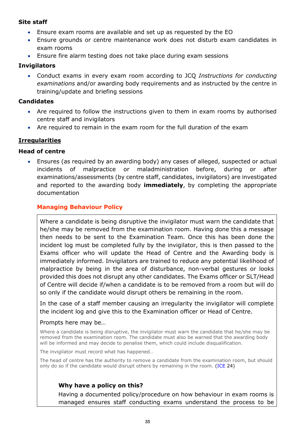#### **Site staff**

- Ensure exam rooms are available and set up as requested by the EO
- Ensure grounds or centre maintenance work does not disturb exam candidates in exam rooms
- Ensure fire alarm testing does not take place during exam sessions

#### **Invigilators**

• Conduct exams in every exam room according to JCQ *Instructions for conducting examinations* and/or awarding body requirements and as instructed by the centre in training/update and briefing sessions

#### **Candidates**

- Are required to follow the instructions given to them in exam rooms by authorised centre staff and invigilators
- Are required to remain in the exam room for the full duration of the exam

## <span id="page-34-0"></span>**Irregularities**

#### **Head of centre**

• Ensures (as required by an awarding body) any cases of alleged, suspected or actual incidents of malpractice or maladministration before, during or after examinations/assessments (by centre staff, candidates, invigilators) are investigated and reported to the awarding body **immediately**, by completing the appropriate documentation

## <span id="page-34-1"></span>**Managing Behaviour Policy**

Where a candidate is being disruptive the invigilator must warn the candidate that he/she may be removed from the examination room. Having done this a message then needs to be sent to the Examination Team. Once this has been done the incident log must be completed fully by the invigilator, this is then passed to the Exams officer who will update the Head of Centre and the Awarding body is immediately informed. Invigilators are trained to reduce any potential likelihood of malpractice by being in the area of disturbance, non-verbal gestures or looks provided this does not disrupt any other candidates. The Exams officer or SLT/Head of Centre will decide if/when a candidate is to be removed from a room but will do so only if the candidate would disrupt others be remaining in the room.

In the case of a staff member causing an irregularity the invigilator will complete the incident log and give this to the Examination officer or Head of Centre.

#### Prompts here may be…

Where a candidate is being disruptive, the invigilator must warn the candidate that he/she may be removed from the examination room. The candidate must also be warned that the awarding body will be informed and may decide to penalise them, which could include disqualification.

The invigilator must record what has happened…

The head of centre has the authority to remove a candidate from the examination room, but should only do so if the candidate would disrupt others by remaining in the room. [\(ICE](http://www.jcq.org.uk/exams-office/ice---instructions-for-conducting-examinations) 24)

## **Why have a policy on this?**

Having a documented policy/procedure on how behaviour in exam rooms is managed ensures staff conducting exams understand the process to be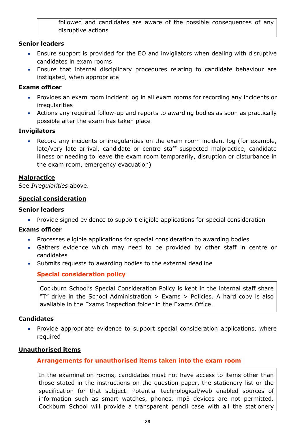followed and candidates are aware of the possible consequences of any disruptive actions

#### **Senior leaders**

- Ensure support is provided for the EO and invigilators when dealing with disruptive candidates in exam rooms
- Ensure that internal disciplinary procedures relating to candidate behaviour are instigated, when appropriate

## **Exams officer**

- Provides an exam room incident log in all exam rooms for recording any incidents or irregularities
- Actions any required follow-up and reports to awarding bodies as soon as practically possible after the exam has taken place

#### **Invigilators**

• Record any incidents or irregularities on the exam room incident log (for example, late/very late arrival, candidate or centre staff suspected malpractice, candidate illness or needing to leave the exam room temporarily, disruption or disturbance in the exam room, emergency evacuation)

#### <span id="page-35-0"></span>**Malpractice**

See *Irregularities* above.

#### <span id="page-35-1"></span>**Special consideration**

#### **Senior leaders**

• Provide signed evidence to support eligible applications for special consideration

#### **Exams officer**

- Processes eligible applications for special consideration to awarding bodies
- Gathers evidence which may need to be provided by other staff in centre or candidates
- <span id="page-35-2"></span>• Submits requests to awarding bodies to the external deadline

## **Special consideration policy**

Cockburn School's Special Consideration Policy is kept in the internal staff share "T" drive in the School Administration > Exams > Policies. A hard copy is also available in the Exams Inspection folder in the Exams Office.

#### **Candidates**

• Provide appropriate evidence to support special consideration applications, where required

#### <span id="page-35-4"></span><span id="page-35-3"></span>**Unauthorised items**

## **Arrangements for unauthorised items taken into the exam room**

In the examination rooms, candidates must not have access to items other than those stated in the instructions on the question paper, the stationery list or the specification for that subject. Potential technological/web enabled sources of information such as smart watches, phones, mp3 devices are not permitted. Cockburn School will provide a transparent pencil case with all the stationery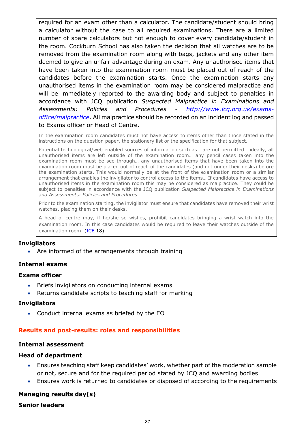required for an exam other than a calculator. The candidate/student should bring a calculator without the case to all required examinations. There are a limited number of spare calculators but not enough to cover every candidate/student in the room. Cockburn School has also taken the decision that all watches are to be removed from the examination room along with bags, jackets and any other item deemed to give an unfair advantage during an exam. Any unauthorised items that have been taken into the examination room must be placed out of reach of the candidates before the examination starts. Once the examination starts any unauthorised items in the examination room may be considered malpractice and will be immediately reported to the awarding body and subject to penalties in accordance with JCQ publication *Suspected Malpractice in Examinations and Assessments: Policies and Procedures - [http://www.jcq.org.uk/exams](http://www.jcq.org.uk/exams-office/malpractice)[office/malpractice](http://www.jcq.org.uk/exams-office/malpractice)*. All malpractice should be recorded on an incident log and passed to Exams officer or Head of Centre.

In the examination room candidates must not have access to items other than those stated in the instructions on the question paper, the stationery list or the specification for that subject.

Potential technological/web enabled sources of information such as… are not permitted… ideally, all unauthorised items are left outside of the examination room… any pencil cases taken into the examination room must be see-through… any unauthorised items that have been taken into the examination room must be placed out of reach of the candidates (and not under their desks) before the examination starts. This would normally be at the front of the examination room or a similar arrangement that enables the invigilator to control access to the items… If candidates have access to unauthorised items in the examination room this may be considered as malpractice. They could be subject to penalties in accordance with the JCQ publication *Suspected Malpractice in Examinations and Assessments: Policies and Procedures…* 

Prior to the examination starting, the invigilator must ensure that candidates have removed their wrist watches, placing them on their desks.

A head of centre may, if he/she so wishes, prohibit candidates bringing a wrist watch into the examination room. In this case candidates would be required to leave their watches outside of the examination room. [\(ICE](http://www.jcq.org.uk/exams-office/ice---instructions-for-conducting-examinations) 18)

#### **Invigilators**

• Are informed of the arrangements through training

#### <span id="page-36-0"></span>**Internal exams**

#### **Exams officer**

- Briefs invigilators on conducting internal exams
- Returns candidate scripts to teaching staff for marking

#### **Invigilators**

• Conduct internal exams as briefed by the EO

#### <span id="page-36-1"></span>**Results and post-results: roles and responsibilities**

## <span id="page-36-2"></span>**Internal assessment**

## **Head of department**

- Ensures teaching staff keep candidates' work, whether part of the moderation sample or not, secure and for the required period stated by JCQ and awarding bodies
- Ensures work is returned to candidates or disposed of according to the requirements

#### <span id="page-36-3"></span>**Managing results day(s)**

#### **Senior leaders**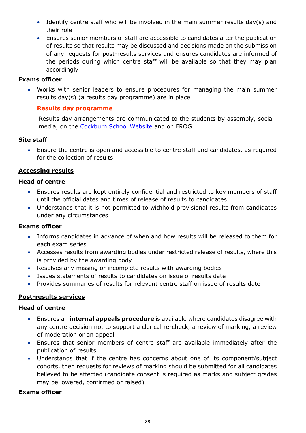- Identify centre staff who will be involved in the main summer results day(s) and their role
- Ensures senior members of staff are accessible to candidates after the publication of results so that results may be discussed and decisions made on the submission of any requests for post-results services and ensures candidates are informed of the periods during which centre staff will be available so that they may plan accordingly

#### **Exams officer**

• Works with senior leaders to ensure procedures for managing the main summer results day(s) (a results day programme) are in place

#### <span id="page-37-0"></span>**Results day programme**

Results day arrangements are communicated to the students by assembly, social media, on the [Cockburn School Website](http://www.cockburnschool.org/) and on FROG.

#### **Site staff**

• Ensure the centre is open and accessible to centre staff and candidates, as required for the collection of results

#### <span id="page-37-1"></span>**Accessing results**

#### **Head of centre**

- Ensures results are kept entirely confidential and restricted to key members of staff until the official dates and times of release of results to candidates
- Understands that it is not permitted to withhold provisional results from candidates under any circumstances

#### **Exams officer**

- Informs candidates in advance of when and how results will be released to them for each exam series
- Accesses results from awarding bodies under restricted release of results, where this is provided by the awarding body
- Resolves any missing or incomplete results with awarding bodies
- Issues statements of results to candidates on issue of results date
- Provides summaries of results for relevant centre staff on issue of results date

## <span id="page-37-2"></span>**Post-results services**

#### **Head of centre**

- Ensures an **internal appeals procedure** is available where candidates disagree with any centre decision not to support a clerical re-check, a review of marking, a review of moderation or an appeal
- Ensures that senior members of centre staff are available immediately after the publication of results
- Understands that if the centre has concerns about one of its component/subject cohorts, then requests for reviews of marking should be submitted for all candidates believed to be affected (candidate consent is required as marks and subject grades may be lowered, confirmed or raised)

## **Exams officer**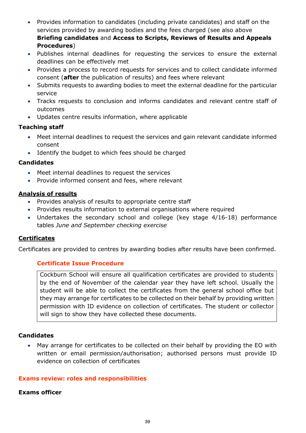- Provides information to candidates (including private candidates) and staff on the services provided by awarding bodies and the fees charged (see also above **Briefing candidates** and **Access to Scripts, Reviews of Results and Appeals Procedures**)
- Publishes internal deadlines for requesting the services to ensure the external deadlines can be effectively met
- Provides a process to record requests for services and to collect candidate informed consent (**after** the publication of results) and fees where relevant
- Submits requests to awarding bodies to meet the external deadline for the particular service
- Tracks requests to conclusion and informs candidates and relevant centre staff of outcomes
- Updates centre results information, where applicable

#### **Teaching staff**

- Meet internal deadlines to request the services and gain relevant candidate informed consent
- Identify the budget to which fees should be charged

#### **Candidates**

- Meet internal deadlines to request the services
- Provide informed consent and fees, where relevant

#### <span id="page-38-0"></span>**Analysis of results**

- Provides analysis of results to appropriate centre staff
- Provides results information to external organisations where required
- Undertakes the secondary school and college (key stage 4/16-18) performance tables *June and September checking exercise*

## <span id="page-38-1"></span>**Certificates**

<span id="page-38-2"></span>Certificates are provided to centres by awarding bodies after results have been confirmed.

## **Certificate Issue Procedure**

Cockburn School will ensure all qualification certificates are provided to students by the end of November of the calendar year they have left school. Usually the student will be able to collect the certificates from the general school office but they may arrange for certificates to be collected on their behalf by providing written permission with ID evidence on collection of certificates. The student or collector will sign to show they have collected these documents.

#### **Candidates**

• May arrange for certificates to be collected on their behalf by providing the EO with written or email permission/authorisation; authorised persons must provide ID evidence on collection of certificates

#### <span id="page-38-3"></span>**Exams review: roles and responsibilities**

#### **Exams officer**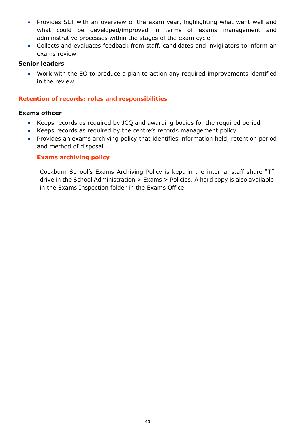- Provides SLT with an overview of the exam year, highlighting what went well and what could be developed/improved in terms of exams management and administrative processes within the stages of the exam cycle
- Collects and evaluates feedback from staff, candidates and invigilators to inform an exams review

#### **Senior leaders**

• Work with the EO to produce a plan to action any required improvements identified in the review

#### <span id="page-39-0"></span>**Retention of records: roles and responsibilities**

#### **Exams officer**

- Keeps records as required by JCQ and awarding bodies for the required period
- Keeps records as required by the centre's records management policy
- Provides an exams archiving policy that identifies information held, retention period and method of disposal

#### <span id="page-39-1"></span>**Exams archiving policy**

Cockburn School's Exams Archiving Policy is kept in the internal staff share "T" drive in the School Administration > Exams > Policies. A hard copy is also available in the Exams Inspection folder in the Exams Office.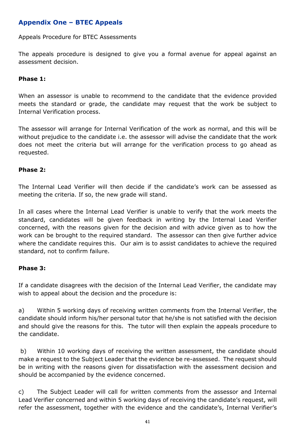## <span id="page-40-0"></span>**Appendix One – BTEC Appeals**

Appeals Procedure for BTEC Assessments

The appeals procedure is designed to give you a formal avenue for appeal against an assessment decision.

## **Phase 1:**

When an assessor is unable to recommend to the candidate that the evidence provided meets the standard or grade, the candidate may request that the work be subject to Internal Verification process.

The assessor will arrange for Internal Verification of the work as normal, and this will be without prejudice to the candidate i.e. the assessor will advise the candidate that the work does not meet the criteria but will arrange for the verification process to go ahead as requested.

#### **Phase 2:**

The Internal Lead Verifier will then decide if the candidate's work can be assessed as meeting the criteria. If so, the new grade will stand.

In all cases where the Internal Lead Verifier is unable to verify that the work meets the standard, candidates will be given feedback in writing by the Internal Lead Verifier concerned, with the reasons given for the decision and with advice given as to how the work can be brought to the required standard. The assessor can then give further advice where the candidate requires this. Our aim is to assist candidates to achieve the required standard, not to confirm failure.

#### **Phase 3:**

If a candidate disagrees with the decision of the Internal Lead Verifier, the candidate may wish to appeal about the decision and the procedure is:

a) Within 5 working days of receiving written comments from the Internal Verifier, the candidate should inform his/her personal tutor that he/she is not satisfied with the decision and should give the reasons for this. The tutor will then explain the appeals procedure to the candidate.

b) Within 10 working days of receiving the written assessment, the candidate should make a request to the Subject Leader that the evidence be re-assessed. The request should be in writing with the reasons given for dissatisfaction with the assessment decision and should be accompanied by the evidence concerned.

c) The Subject Leader will call for written comments from the assessor and Internal Lead Verifier concerned and within 5 working days of receiving the candidate's request, will refer the assessment, together with the evidence and the candidate's, Internal Verifier's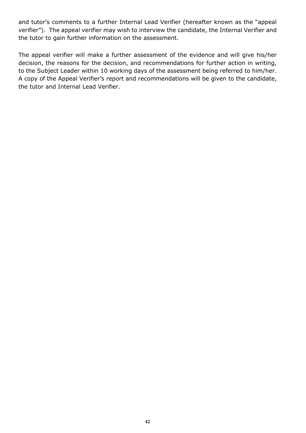and tutor's comments to a further Internal Lead Verifier (hereafter known as the "appeal verifier"). The appeal verifier may wish to interview the candidate, the Internal Verifier and the tutor to gain further information on the assessment.

The appeal verifier will make a further assessment of the evidence and will give his/her decision, the reasons for the decision, and recommendations for further action in writing, to the Subject Leader within 10 working days of the assessment being referred to him/her. A copy of the Appeal Verifier's report and recommendations will be given to the candidate, the tutor and Internal Lead Verifier.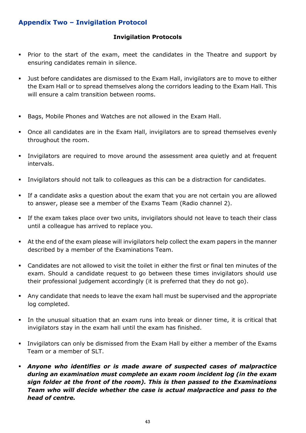## <span id="page-42-0"></span>**Appendix Two – Invigilation Protocol**

## **Invigilation Protocols**

- Prior to the start of the exam, meet the candidates in the Theatre and support by ensuring candidates remain in silence.
- Just before candidates are dismissed to the Exam Hall, invigilators are to move to either the Exam Hall or to spread themselves along the corridors leading to the Exam Hall. This will ensure a calm transition between rooms.
- Bags, Mobile Phones and Watches are not allowed in the Exam Hall.
- Once all candidates are in the Exam Hall, invigilators are to spread themselves evenly throughout the room.
- Invigilators are required to move around the assessment area quietly and at frequent intervals.
- Invigilators should not talk to colleagues as this can be a distraction for candidates.
- If a candidate asks a question about the exam that you are not certain you are allowed to answer, please see a member of the Exams Team (Radio channel 2).
- **.** If the exam takes place over two units, invigilators should not leave to teach their class until a colleague has arrived to replace you.
- At the end of the exam please will invigilators help collect the exam papers in the manner described by a member of the Examinations Team.
- Candidates are not allowed to visit the toilet in either the first or final ten minutes of the exam. Should a candidate request to go between these times invigilators should use their professional judgement accordingly (it is preferred that they do not go).
- Any candidate that needs to leave the exam hall must be supervised and the appropriate log completed.
- In the unusual situation that an exam runs into break or dinner time, it is critical that invigilators stay in the exam hall until the exam has finished.
- **•** Invigilators can only be dismissed from the Exam Hall by either a member of the Exams Team or a member of SLT.
- *Anyone who identifies or is made aware of suspected cases of malpractice during an examination must complete an exam room incident log (in the exam sign folder at the front of the room). This is then passed to the Examinations Team who will decide whether the case is actual malpractice and pass to the head of centre.*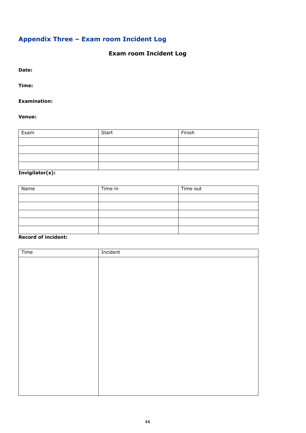## <span id="page-43-0"></span>**Appendix Three – Exam room Incident Log**

## **Exam room Incident Log**

**Date:**

**Time:**

#### **Examination:**

#### **Venue:**

| Exam | Start | Finish |
|------|-------|--------|
|      |       |        |
|      |       |        |
|      |       |        |
|      |       |        |

#### **Invigilator(s):**

| Name | Time in | Time out |
|------|---------|----------|
|      |         |          |
|      |         |          |
|      |         |          |
|      |         |          |
|      |         |          |

## **Record of incident:**

| Time | Incident |
|------|----------|
|      |          |
|      |          |
|      |          |
|      |          |
|      |          |
|      |          |
|      |          |
|      |          |
|      |          |
|      |          |
|      |          |
|      |          |
|      |          |
|      |          |
|      |          |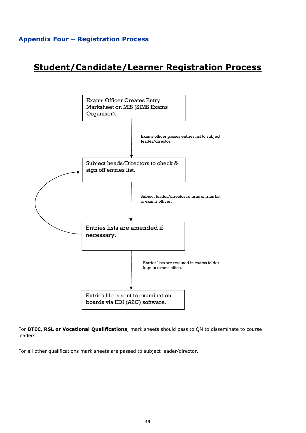## <span id="page-44-0"></span>**Appendix Four – Registration Process**

# **Student/Candidate/Learner Registration Process**



For **BTEC, RSL or Vocational Qualifications**, mark sheets should pass to QN to disseminate to course leaders.

For all other qualifications mark sheets are passed to subject leader/director.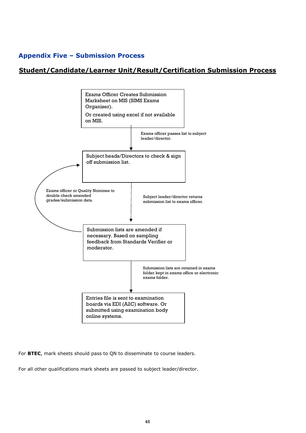## <span id="page-45-0"></span>**Appendix Five – Submission Process**

## **Student/Candidate/Learner Unit/Result/Certification Submission Process**



For **BTEC**, mark sheets should pass to QN to disseminate to course leaders.

For all other qualifications mark sheets are passed to subject leader/director.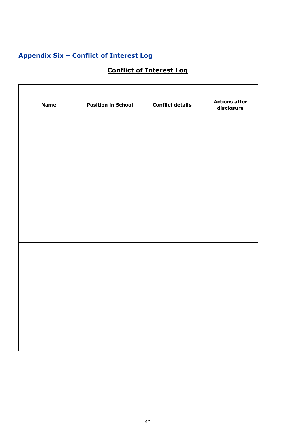## <span id="page-46-0"></span>**Appendix Six – Conflict of Interest Log**

## **Conflict of Interest Log**

| <b>Name</b> | <b>Position in School</b> | <b>Conflict details</b> | <b>Actions after</b><br>disclosure |
|-------------|---------------------------|-------------------------|------------------------------------|
|             |                           |                         |                                    |
|             |                           |                         |                                    |
|             |                           |                         |                                    |
|             |                           |                         |                                    |
|             |                           |                         |                                    |
|             |                           |                         |                                    |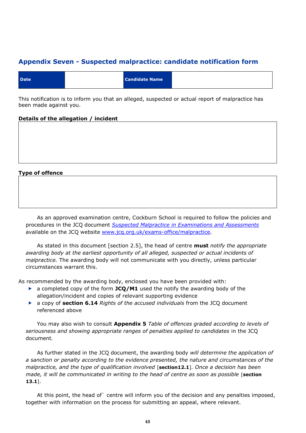## <span id="page-47-0"></span>**Appendix Seven - Suspected malpractice: candidate notification form**

| <b>Candidate Name</b><br><b>Date</b> |  |
|--------------------------------------|--|
|--------------------------------------|--|

This notification is to inform you that an alleged, suspected or actual report of malpractice has been made against you.

#### **Details of the allegation / incident**

#### **Type of offence**

As an approved examination centre, Cockburn School is required to follow the policies and procedures in the JCQ document *[Suspected Malpractice in Examinations and Assessments](http://www.jcq.org.uk/exams-office/malpractice)* available on the JCQ website [www.jcq.org.uk/exams-office/malpractice.](http://www.jcq.org.uk/exams-office/malpractice)

As stated in this document [section 2.5], the head of centre **must** *notify the appropriate awarding body at the earliest opportunity of all alleged, suspected or actual incidents of malpractice.* The awarding body will not communicate with you directly, unless particular circumstances warrant this.

As recommended by the awarding body, enclosed you have been provided with:

- a completed copy of the form **JCQ/M1** used the notify the awarding body of the allegation/incident and copies of relevant supporting evidence
- a copy of **section 6.14** *Rights of the accused individuals* from the JCQ document referenced above

You may also wish to consult **Appendix 5** *Table of offences graded according to levels of seriousness and showing appropriate ranges of penalties applied to candidates* in the JCQ document*.*

As further stated in the JCQ document, the awarding body *will determine the application of a sanction or penalty according to the evidence presented, the nature and circumstances of the malpractice, and the type of qualification involved* [**section12.1**]*. Once a decision has been made, it will be communicated in writing to the head of centre as soon as possible* [**section**] **13.1**].

At this point, the head of` centre will inform you of the decision and any penalties imposed, together with information on the process for submitting an appeal, where relevant.